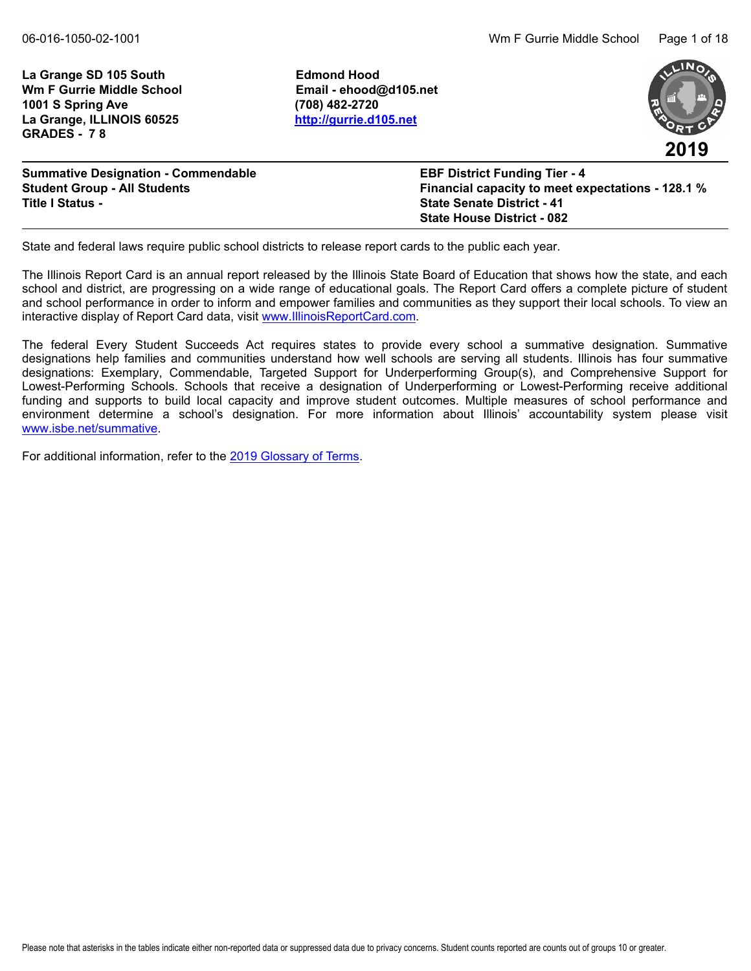La Grange SD 105 South **Edmond Hood Wm F Gurrie Middle School Email - ehood@d105.net 1001 S Spring Ave (708) 482-2720 La Grange, ILLINOIS 60525 <http://gurrie.d105.net> GRADES - 7 8**



| <b>Summative Designation - Commendable</b> | <b>EBF District Funding Tier - 4</b>              |
|--------------------------------------------|---------------------------------------------------|
| <b>Student Group - All Students</b>        | Financial capacity to meet expectations - 128.1 % |
| <b>Title I Status -</b>                    | <b>State Senate District - 41</b>                 |
|                                            | <b>State House District - 082</b>                 |

State and federal laws require public school districts to release report cards to the public each year.

The Illinois Report Card is an annual report released by the Illinois State Board of Education that shows how the state, and each school and district, are progressing on a wide range of educational goals. The Report Card offers a complete picture of student and school performance in order to inform and empower families and communities as they support their local schools. To view an interactive display of Report Card data, visit [www.IllinoisReportCard.com](https://www.illinoisreportcard.com/).

The federal Every Student Succeeds Act requires states to provide every school a summative designation. Summative designations help families and communities understand how well schools are serving all students. Illinois has four summative designations: Exemplary, Commendable, Targeted Support for Underperforming Group(s), and Comprehensive Support for Lowest-Performing Schools. Schools that receive a designation of Underperforming or Lowest-Performing receive additional funding and supports to build local capacity and improve student outcomes. Multiple measures of school performance and environment determine a school's designation. For more information about Illinois' accountability system please visit [www.isbe.net/summative](https://www.isbe.net/summative).

For additional information, refer to th[e 2019 Glossary of Terms.](https://www.isbe.net/Documents/2019-Report-Card-Glossary-Terms.pdf)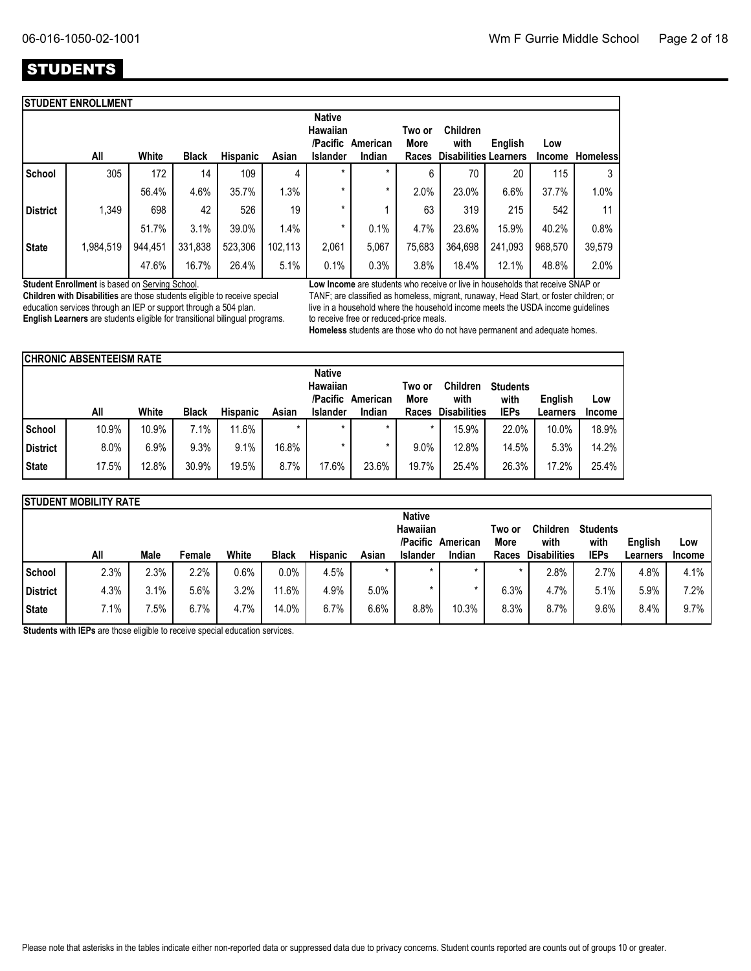# **STUDENTS**

|                 | <b>STUDENT ENROLLMENT</b> |         |              |          |         |                                       |          |                |                              |         |               |                 |
|-----------------|---------------------------|---------|--------------|----------|---------|---------------------------------------|----------|----------------|------------------------------|---------|---------------|-----------------|
|                 |                           |         |              |          |         | <b>Native</b><br>Hawaiian<br>/Pacific | American | Two or<br>More | <b>Children</b><br>with      | English | Low           |                 |
|                 | All                       | White   | <b>Black</b> | Hispanic | Asian   | <b>Islander</b>                       | Indian   | Races          | <b>Disabilities Learners</b> |         | <b>Income</b> | <b>Homeless</b> |
| School          | 305                       | 172     | 14           | 109      | 4       | $\star$                               | $\star$  | 6              | 70                           | 20      | 115           | 3               |
|                 |                           | 56.4%   | 4.6%         | 35.7%    | 1.3%    | $\star$                               | *        | 2.0%           | 23.0%                        | 6.6%    | 37.7%         | 1.0%            |
| <b>District</b> | 1,349                     | 698     | 42           | 526      | 19      | *                                     |          | 63             | 319                          | 215     | 542           | 11              |
|                 |                           | 51.7%   | 3.1%         | 39.0%    | 1.4%    | *                                     | 0.1%     | 4.7%           | 23.6%                        | 15.9%   | 40.2%         | 0.8%            |
| <b>State</b>    | 1,984,519                 | 944,451 | 331,838      | 523,306  | 102,113 | 2,061                                 | 5,067    | 75,683         | 364,698                      | 241,093 | 968,570       | 39,579          |
|                 |                           | 47.6%   | 16.7%        | 26.4%    | 5.1%    | 0.1%                                  | 0.3%     | 3.8%           | 18.4%                        | 12.1%   | 48.8%         | 2.0%            |

**Student Enrollment** is based on Serving School.

**Children with Disabilities** are those students eligible to receive special education services through an IEP or support through a 504 plan. **English Learners** are students eligible for transitional bilingual programs. **Low Income** are students who receive or live in households that receive SNAP or TANF; are classified as homeless, migrant, runaway, Head Start, or foster children; or live in a household where the household income meets the USDA income guidelines to receive free or reduced-price meals.

**Homeless** students are those who do not have permanent and adequate homes.

|               | <b>ICHRONIC ABSENTEEISM RATE</b> |       |              |                 |         |                                       |          |                |                         |                         |          |        |
|---------------|----------------------------------|-------|--------------|-----------------|---------|---------------------------------------|----------|----------------|-------------------------|-------------------------|----------|--------|
|               |                                  |       |              |                 |         | <b>Native</b><br>Hawaiian<br>/Pacific | American | Two or<br>More | <b>Children</b><br>with | <b>Students</b><br>with | English  | Low    |
|               | All                              | White | <b>Black</b> | <b>Hispanic</b> | Asian   | <b>Islander</b>                       | Indian   | Races          | <b>Disabilities</b>     | <b>IEPs</b>             | Learners | Income |
| <b>School</b> | 10.9%                            | 10.9% | 7.1%         | 11.6%           | $\star$ |                                       | $\star$  |                | 15.9%                   | 22.0%                   | 10.0%    | 18.9%  |
| District      | 8.0%                             | 6.9%  | 9.3%         | 9.1%            | 16.8%   |                                       |          | 9.0%           | 12.8%                   | 14.5%                   | 5.3%     | 14.2%  |
| <b>State</b>  | 17.5%                            | 12.8% | 30.9%        | 19.5%           | 8.7%    | 17.6%                                 | 23.6%    | 19.7%          | 25.4%                   | 26.3%                   | 17.2%    | 25.4%  |

|              | <b>ISTUDENT MOBILITY RATE</b> |                 |        |       |              |                 |         |               |          |        |                     |                 |          |               |
|--------------|-------------------------------|-----------------|--------|-------|--------------|-----------------|---------|---------------|----------|--------|---------------------|-----------------|----------|---------------|
|              |                               |                 |        |       |              |                 |         | <b>Native</b> |          |        |                     |                 |          |               |
|              |                               |                 |        |       |              |                 |         | Hawaiian      |          | Two or | <b>Children</b>     | <b>Students</b> |          |               |
|              |                               |                 |        |       |              |                 |         | /Pacific      | American | More   | with                | with            | English  | Low           |
|              | All                           | Male            | Female | White | <b>Black</b> | <b>Hispanic</b> | Asian   | Islander      | Indian   | Races  | <b>Disabilities</b> | <b>IEPs</b>     | Learners | <b>Income</b> |
| School       | 2.3%                          | 2.3%            | 2.2%   | 0.6%  | 0.0%         | 4.5%            | $\star$ | $\star$       | $\star$  |        | 2.8%                | 2.7%            | 4.8%     | 4.1%          |
| District     | 4.3%                          | 3.1%            | 5.6%   | 3.2%  | 11.6%        | 4.9%            | 5.0%    |               |          | 6.3%   | 4.7%                | 5.1%            | 5.9%     | 7.2%          |
| <b>State</b> | 7.1%                          | $^{\prime}.5\%$ | 6.7%   | 4.7%  | 14.0%        | 6.7%            | $6.6\%$ | 8.8%          | 10.3%    | 8.3%   | 8.7%                | 9.6%            | 8.4%     | 9.7%          |

**Students with IEPs** are those eligible to receive special education services.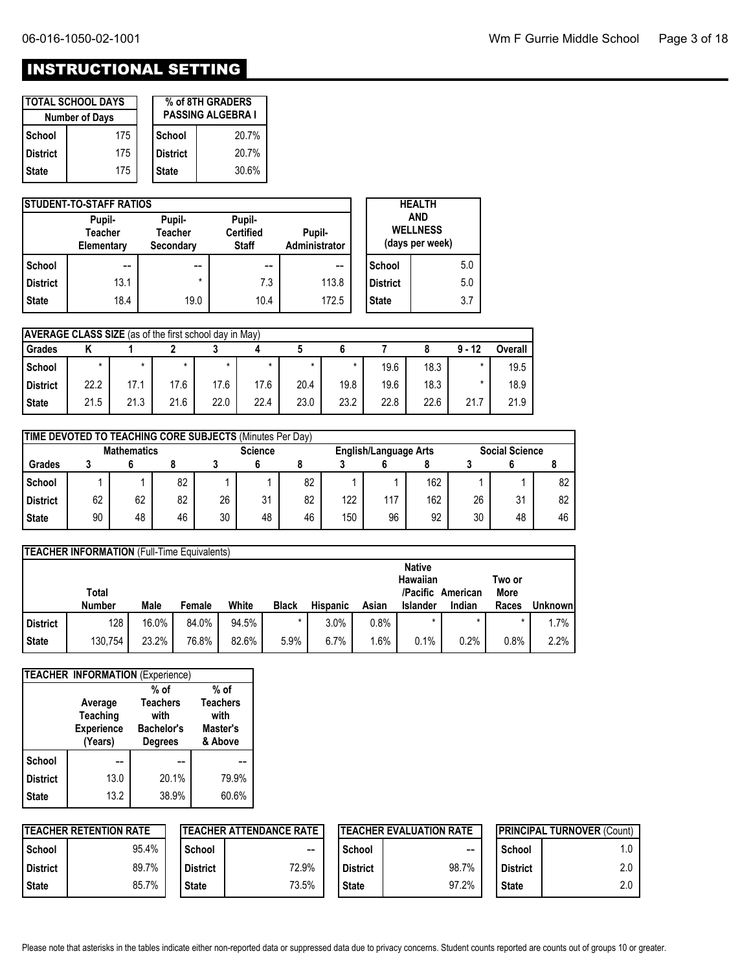# INSTRUCTIONAL SETTING

|                 | <b>TOTAL SCHOOL DAYS</b> |                          | % of 8TH GRADERS |  |
|-----------------|--------------------------|--------------------------|------------------|--|
|                 | <b>Number of Days</b>    | <b>PASSING ALGEBRA I</b> |                  |  |
| School          | 175                      | School                   | 20.7%            |  |
| <b>District</b> | 175                      | l District               | 20.7%            |  |
| <b>State</b>    | 175                      | <b>State</b>             | 30.6%            |  |

|                 | <b>ISTUDENT-TO-STAFF RATIOS</b>        |                                       |                                            | <b>HEALTH</b>           |                 |                                                  |
|-----------------|----------------------------------------|---------------------------------------|--------------------------------------------|-------------------------|-----------------|--------------------------------------------------|
|                 | Pupil-<br><b>Teacher</b><br>Elementary | Pupil-<br><b>Teacher</b><br>Secondary | Pupil-<br><b>Certified</b><br><b>Staff</b> | Pupil-<br>Administrator |                 | <b>AND</b><br><b>WELLNESS</b><br>(days per week) |
| School          | --                                     | $- -$                                 | --                                         | --                      | School          | 5.0                                              |
| <b>District</b> | 13.1                                   | $\star$                               | 7.3                                        | 113.8                   | <b>District</b> | 5.0                                              |
| <b>State</b>    | 18.4                                   | 19.0                                  | 10.4                                       | 172.5                   | <b>State</b>    | 3.7                                              |

| <b>AVERAGE CLASS SIZE</b> (as of the first school day in May) |         |      |      |         |         |         |      |      |      |          |         |
|---------------------------------------------------------------|---------|------|------|---------|---------|---------|------|------|------|----------|---------|
| Grades                                                        |         |      |      |         |         |         |      |      |      | $9 - 12$ | Overall |
| School                                                        | $\star$ |      |      | $\star$ | $\star$ | $\star$ |      | 19.6 | 18.3 | $\star$  | 19.5    |
| District                                                      | 22.2    | 17.1 | 17.6 | 17.6    | 17.6    | 20.4    | 19.8 | 19.6 | 18.3 | $\star$  | 18.9    |
| <b>State</b>                                                  | 21.5    | 21.3 | 21.6 | 22.0    | 22.4    | 23.0    | 23.2 | 22.8 | 22.6 | 21.7     | 21.9    |

|                 | TIME DEVOTED TO TEACHING CORE SUBJECTS (Minutes Per Day) |    |    |    |                                         |    |     |     |                       |    |    |    |
|-----------------|----------------------------------------------------------|----|----|----|-----------------------------------------|----|-----|-----|-----------------------|----|----|----|
|                 | <b>Mathematics</b>                                       |    |    |    | <b>Science</b><br>English/Language Arts |    |     |     | <b>Social Science</b> |    |    |    |
| <b>Grades</b>   |                                                          |    |    |    |                                         |    |     |     |                       |    |    |    |
| School          |                                                          |    | 82 |    |                                         | 82 |     |     | 162                   |    |    | 82 |
| <b>District</b> | 62                                                       | 62 | 82 | 26 | 31                                      | 82 | 122 | 117 | 162                   | 26 | 31 | 82 |
| <b>State</b>    | 90                                                       | 48 | 46 | 30 | 48                                      | 46 | 150 | 96  | 92                    | 30 | 48 | 46 |

|                 | <b>TEACHER INFORMATION (Full-Time Equivalents)</b> |       |        |       |              |                 |       |                      |          |                |                |  |  |
|-----------------|----------------------------------------------------|-------|--------|-------|--------------|-----------------|-------|----------------------|----------|----------------|----------------|--|--|
|                 |                                                    |       |        |       |              |                 |       | <b>Native</b>        |          |                |                |  |  |
|                 | Total                                              |       |        |       |              |                 |       | Hawaiian<br>/Pacific | American | Two or<br>More |                |  |  |
|                 | <b>Number</b>                                      |       | Female | White |              |                 |       |                      |          |                |                |  |  |
|                 |                                                    | Male  |        |       | <b>Black</b> | <b>Hispanic</b> | Asian | <b>Islander</b>      | Indian   | Races          | <b>Unknown</b> |  |  |
| <b>District</b> | 128                                                | 16.0% | 84.0%  | 94.5% |              | 3.0%            | 0.8%  |                      |          |                | 1.7%           |  |  |

|                 | TEACHER INFORMATION (Experience) |                   |                 |
|-----------------|----------------------------------|-------------------|-----------------|
|                 |                                  | $%$ of            | $%$ of          |
|                 | Average                          | <b>Teachers</b>   | <b>Teachers</b> |
|                 | Teaching                         | with              | with            |
|                 | <b>Experience</b>                | <b>Bachelor's</b> | Master's        |
|                 | (Years)                          | <b>Degrees</b>    | & Above         |
| <b>School</b>   |                                  |                   |                 |
| <b>District</b> | 13.0                             | 20.1%             | 79.9%           |
| <b>State</b>    | 13.2                             | 38.9%             | 60.6%           |

|            | <b>TEACHER RETENTION RATE</b> |                 | <b>ITEACHER ATTENDANCE RATE</b> |              |               | <b>ITEACHER EVALUATION RATE</b> | <b>IPRINCIPAL TURNOVER (Count)</b> |     |  |
|------------|-------------------------------|-----------------|---------------------------------|--------------|---------------|---------------------------------|------------------------------------|-----|--|
| l School   | 95.4%                         | School          | $-$                             |              | <b>School</b> | --                              | School                             | 1.0 |  |
| l District | 89.7%                         | <b>District</b> | 72.9%                           |              | l District    | 98.7%                           | <b>District</b>                    | 2.0 |  |
| l State    | 85.7%                         | <b>State</b>    | 73.5%                           | <b>State</b> |               | 97.2%                           | <b>State</b>                       | 2.0 |  |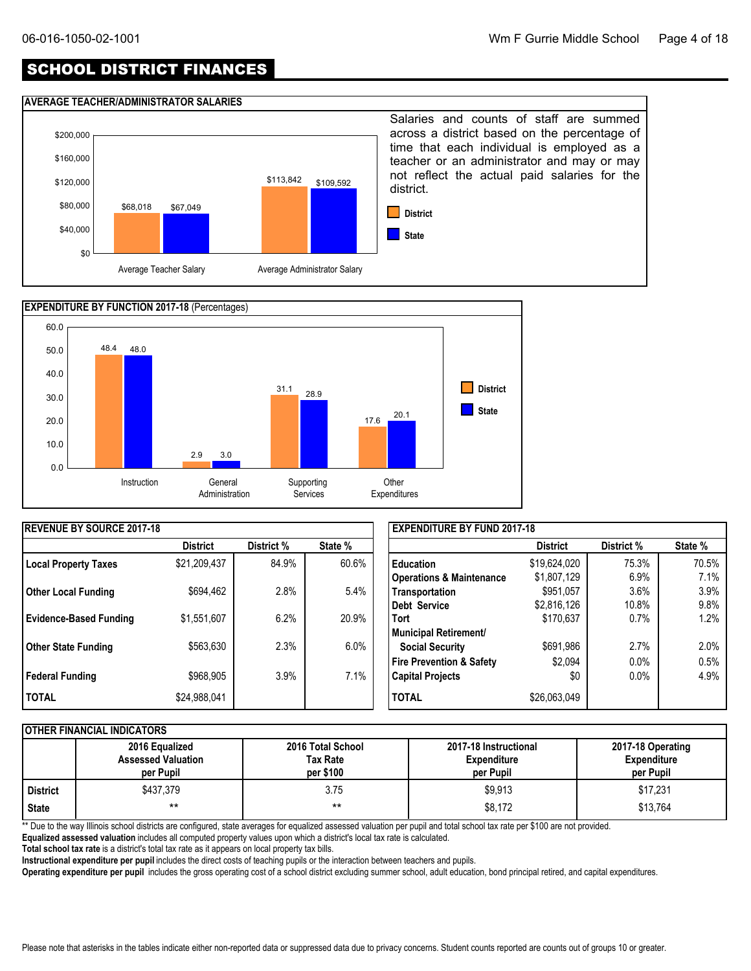# SCHOOL DISTRICT FINANCES

#### **AVERAGE TEACHER/ADMINISTRATOR SALARIES**





| <b>REVENUE BY SOURCE 2017-18</b> |                 |            |         | <b>EXPENDITURE BY FUND 2017-18</b>  |                 |            |         |  |  |
|----------------------------------|-----------------|------------|---------|-------------------------------------|-----------------|------------|---------|--|--|
|                                  | <b>District</b> | District % | State % |                                     | <b>District</b> | District % | State % |  |  |
| Local Property Taxes             | \$21,209,437    | 84.9%      | 60.6%   | <b>Education</b>                    | \$19,624,020    | 75.3%      | 70.5%   |  |  |
|                                  |                 |            |         | <b>Operations &amp; Maintenance</b> | \$1,807,129     | 6.9%       | 7.1%    |  |  |
| <b>Other Local Funding</b>       | \$694,462       | 2.8%       | 5.4%    | Transportation                      | \$951,057       | 3.6%       | 3.9%    |  |  |
|                                  |                 |            |         | Debt Service                        | \$2,816,126     | 10.8%      | 9.8%    |  |  |
| <b>Evidence-Based Funding</b>    | \$1,551,607     | 6.2%       | 20.9%   | <b>Tort</b>                         | \$170,637       | 0.7%       | 1.2%    |  |  |
|                                  |                 |            |         | Municipal Retirement/               |                 |            |         |  |  |
| Other State Funding              | \$563,630       | 2.3%       | $6.0\%$ | <b>Social Security</b>              | \$691,986       | 2.7%       | 2.0%    |  |  |
|                                  |                 |            |         | <b>Fire Prevention &amp; Safety</b> | \$2,094         | 0.0%       | 0.5%    |  |  |
| Federal Funding                  | \$968,905       | 3.9%       | 7.1%    | <b>Capital Projects</b>             | \$0             | $0.0\%$    | 4.9%    |  |  |
| <b>TOTAL</b>                     | \$24,988,041    |            |         | <b>TOTAL</b>                        | \$26,063,049    |            |         |  |  |

#### **OTHER FINANCIAL INDICATORS**

|            | 2016 Equalized<br><b>Assessed Valuation</b><br>per Pupil | 2016 Total School<br>Tax Rate<br>per \$100 | 2017-18 Instructional<br><b>Expenditure</b><br>per Pupil | 2017-18 Operating<br><b>Expenditure</b><br>per Pupil |
|------------|----------------------------------------------------------|--------------------------------------------|----------------------------------------------------------|------------------------------------------------------|
| l District | \$437.379                                                | 3.75                                       | \$9,913                                                  | \$17,231                                             |
| State      | $***$                                                    | $***$                                      | \$8,172                                                  | \$13,764                                             |

\*\* Due to the way Illinois school districts are configured, state averages for equalized assessed valuation per pupil and total school tax rate per \$100 are not provided.

**Equalized assessed valuation** includes all computed property values upon which a district's local tax rate is calculated.

**Total school tax rate** is a district's total tax rate as it appears on local property tax bills.

**Instructional expenditure per pupil** includes the direct costs of teaching pupils or the interaction between teachers and pupils.

**Operating expenditure per pupil** includes the gross operating cost of a school district excluding summer school, adult education, bond principal retired, and capital expenditures.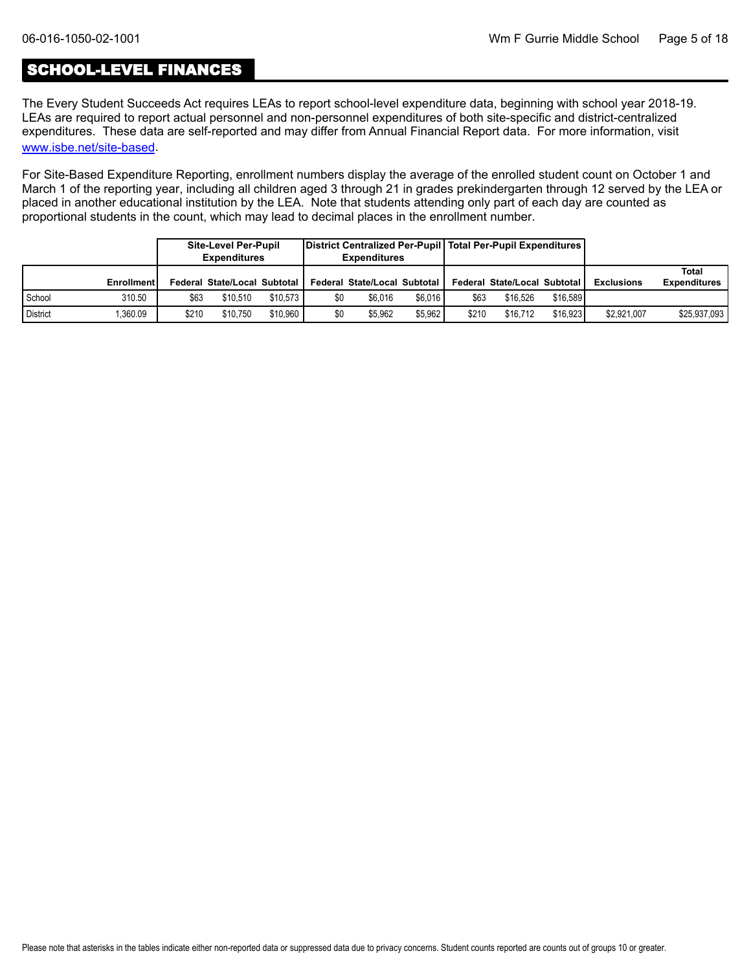# SCHOOL-LEVEL FINANCES

[www.isbe.net/site-based](https://www.isbe.net/site-based). The Every Student Succeeds Act requires LEAs to report school-level expenditure data, beginning with school year 2018-19. LEAs are required to report actual personnel and non-personnel expenditures of both site-specific and district-centralized expenditures. These data are self-reported and may differ from Annual Financial Report data. For more information, visit

For Site-Based Expenditure Reporting, enrollment numbers display the average of the enrolled student count on October 1 and March 1 of the reporting year, including all children aged 3 through 21 in grades prekindergarten through 12 served by the LEA or placed in another educational institution by the LEA. Note that students attending only part of each day are counted as proportional students in the count, which may lead to decimal places in the enrollment number.

|                 |            |       | <b>Site-Level Per-Pupil</b><br><b>Expenditures</b> |          |     | District Centralized Per-Pupil   Total Per-Pupil Expenditures  <br><b>Expenditures</b> |         |       |                              |          |                   |                              |
|-----------------|------------|-------|----------------------------------------------------|----------|-----|----------------------------------------------------------------------------------------|---------|-------|------------------------------|----------|-------------------|------------------------------|
|                 | Enrollment |       | Federal State/Local Subtotal I                     |          |     | Federal State/Local Subtotal                                                           |         |       | Federal State/Local Subtotal |          | <b>Exclusions</b> | Total<br><b>Expenditures</b> |
| School          | 310.50     | \$63  | \$10.510                                           | \$10.573 | \$0 | \$6.016                                                                                | \$6.016 | \$63  | \$16,526                     | \$16.589 |                   |                              |
| <b>District</b> | .360.09    | \$210 | \$10.750                                           | \$10.960 | \$0 | \$5.962                                                                                | \$5.962 | \$210 | \$16.712                     | \$16.923 | \$2,921,007       | \$25,937,093                 |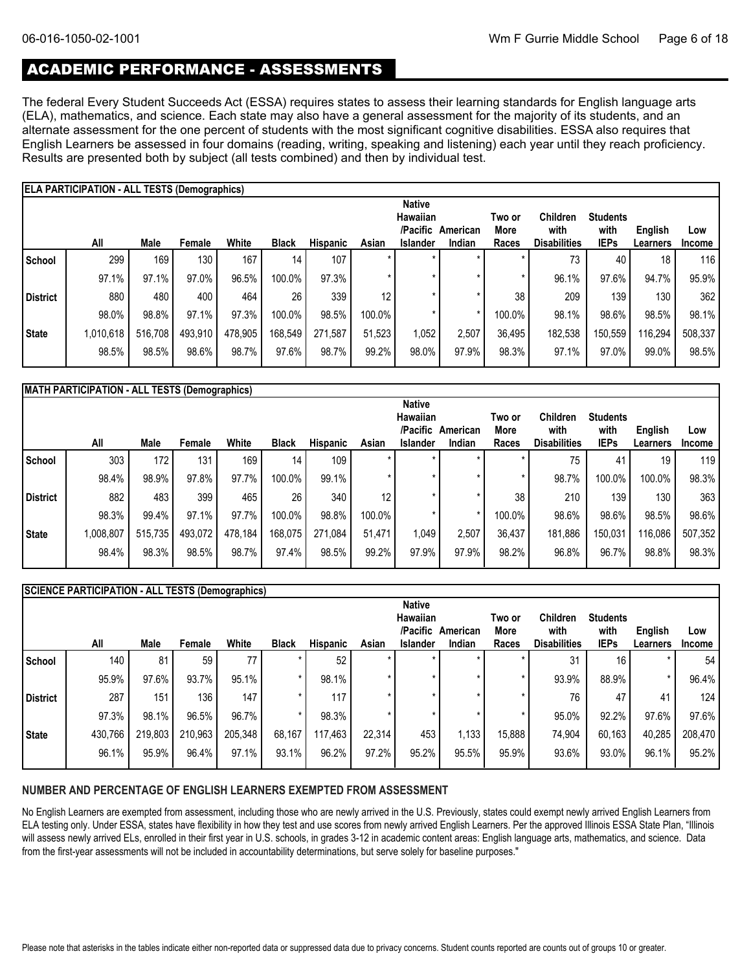# ACADEMIC PERFORMANCE - ASSESSMENTS

The federal Every Student Succeeds Act (ESSA) requires states to assess their learning standards for English language arts (ELA), mathematics, and science. Each state may also have a general assessment for the majority of its students, and an alternate assessment for the one percent of students with the most significant cognitive disabilities. ESSA also requires that English Learners be assessed in four domains (reading, writing, speaking and listening) each year until they reach proficiency. Results are presented both by subject (all tests combined) and then by individual test.

|              | <b>ELA PARTICIPATION - ALL TESTS (Demographics)</b> |         |         |         |                 |                 |        |                                              |          |                       |                         |                         |          |               |
|--------------|-----------------------------------------------------|---------|---------|---------|-----------------|-----------------|--------|----------------------------------------------|----------|-----------------------|-------------------------|-------------------------|----------|---------------|
|              |                                                     |         |         |         |                 |                 |        | <b>Native</b><br><b>Hawaiian</b><br>/Pacific | American | Two or<br><b>More</b> | <b>Children</b><br>with | <b>Students</b><br>with | English  | Low           |
|              | All                                                 | Male    | Female  | White   | <b>Black</b>    | <b>Hispanic</b> | Asian  | <b>Islander</b>                              | Indian   | Races                 | <b>Disabilities</b>     | <b>IEPs</b>             | Learners | <b>Income</b> |
| School       | 299                                                 | 169     | 130     | 167     | 14 <sub>1</sub> | 107             |        | $\star$                                      |          |                       | 73                      | 40                      | 18       | 116           |
|              | 97.1%                                               | 97.1%   | 97.0%   | 96.5%   | 100.0%          | 97.3%           |        | ×                                            |          |                       | 96.1%                   | 97.6%                   | 94.7%    | 95.9%         |
| District     | 880                                                 | 480     | 400     | 464     | 26              | 339             | 12     |                                              |          | 38                    | 209                     | 139                     | 130      | 362           |
|              | 98.0%                                               | 98.8%   | 97.1%   | 97.3%   | 100.0%          | 98.5%           | 100.0% | ×                                            |          | 100.0%                | 98.1%                   | 98.6%                   | 98.5%    | 98.1%         |
| <b>State</b> | 1,010,618                                           | 516,708 | 493,910 | 478,905 | 168,549         | 271,587         | 51,523 | ,052                                         | 2,507    | 36,495                | 182,538                 | 150,559                 | 116,294  | 508,337       |
|              | 98.5%                                               | 98.5%   | 98.6%   | 98.7%   | 97.6%           | 98.7%           | 99.2%  | 98.0%                                        | 97.9%    | 98.3%                 | 97.1%                   | 97.0%                   | 99.0%    | 98.5%         |

| MATH PARTICIPATION - ALL TESTS (Demographics) |  |
|-----------------------------------------------|--|
|-----------------------------------------------|--|

|                 |           |         |         |         |              |                 |        | <b>Native</b>   |          |        |                     |                 |          |               |
|-----------------|-----------|---------|---------|---------|--------------|-----------------|--------|-----------------|----------|--------|---------------------|-----------------|----------|---------------|
|                 |           |         |         |         |              |                 |        | Hawaiian        |          | Two or | <b>Children</b>     | <b>Students</b> |          |               |
|                 |           |         |         |         |              |                 |        | /Pacific        | American | More   | with                | with            | English  | Low           |
|                 | All       | Male    | Female  | White   | <b>Black</b> | <b>Hispanic</b> | Asian  | <b>Islander</b> | Indian   | Races  | <b>Disabilities</b> | <b>IEPs</b>     | Learners | <b>Income</b> |
| School          | 303       | 172     | 131     | 169     | 14           | 109             |        |                 |          |        | 75                  | 41              | 19,      | 119           |
|                 | 98.4%     | 98.9%   | 97.8%   | 97.7%   | 100.0%       | 99.1%           |        |                 |          |        | 98.7%               | 100.0%          | 100.0%   | 98.3%         |
| <b>District</b> | 882       | 483     | 399     | 465     | 26           | 340             | 12     |                 |          | 38     | 210                 | 139             | 130      | 363           |
|                 | 98.3%     | 99.4%   | 97.1%   | 97.7%   | 100.0%       | 98.8%           | 100.0% |                 |          | 100.0% | 98.6%               | 98.6%           | 98.5%    | 98.6%         |
| State           | 1,008,807 | 515,735 | 493,072 | 478,184 | 168,075      | 271,084         | 51,471 | 1,049           | 2,507    | 36,437 | 181,886             | 150,031         | 116,086  | 507,352       |
|                 | 98.4%     | 98.3%   | 98.5%   | 98.7%   | 97.4%        | 98.5%           | 99.2%  | 97.9%           | 97.9%    | 98.2%  | 96.8%               | 96.7%           | 98.8%    | 98.3%         |

|                 | SCIENCE PARTICIPATION - ALL TESTS (Demographics) |         |         |         |              |                 |         |                 |          |         |                     |                 |          |               |
|-----------------|--------------------------------------------------|---------|---------|---------|--------------|-----------------|---------|-----------------|----------|---------|---------------------|-----------------|----------|---------------|
|                 |                                                  |         |         |         |              |                 |         | <b>Native</b>   |          |         |                     |                 |          |               |
|                 |                                                  |         |         |         |              |                 |         | Hawaiian        |          | Two or  | <b>Children</b>     | <b>Students</b> |          |               |
|                 |                                                  |         |         |         |              |                 |         | /Pacific        | American | More    | with                | with            | English  | Low           |
|                 | All                                              | Male    | Female  | White   | <b>Black</b> | <b>Hispanic</b> | Asian   | <b>Islander</b> | Indian   | Races   | <b>Disabilities</b> | <b>IEPs</b>     | Learners | <b>Income</b> |
| School          | 140                                              | 81      | 59      | 77      |              | 52              |         |                 |          |         | 31                  | 16              |          | 54            |
|                 | 95.9%                                            | 97.6%   | 93.7%   | 95.1%   |              | 98.1%           | $\star$ |                 |          |         | 93.9%               | 88.9%           |          | 96.4%         |
| <b>District</b> | 287                                              | 151     | 136     | 147     |              | 117             | $\star$ |                 | $\star$  |         | 76                  | 47              | 41       | 124           |
|                 | 97.3%                                            | 98.1%   | 96.5%   | 96.7%   |              | 98.3%           |         |                 | *        | $\star$ | 95.0%               | 92.2%           | 97.6%    | 97.6%         |
| <b>State</b>    | 430,766                                          | 219,803 | 210,963 | 205,348 | 68,167       | 117,463         | 22,314  | 453             | 1,133    | 15,888  | 74,904              | 60,163          | 40,285   | 208,470       |
|                 | 96.1%                                            | 95.9%   | 96.4%   | 97.1%   | 93.1%        | 96.2%           | 97.2%   | 95.2%           | 95.5%    | 95.9%   | 93.6%               | 93.0%           | 96.1%    | 95.2%         |

#### **NUMBER AND PERCENTAGE OF ENGLISH LEARNERS EXEMPTED FROM ASSESSMENT**

No English Learners are exempted from assessment, including those who are newly arrived in the U.S. Previously, states could exempt newly arrived English Learners from ELA testing only. Under ESSA, states have flexibility in how they test and use scores from newly arrived English Learners. Per the approved Illinois ESSA State Plan, "Illinois will assess newly arrived ELs, enrolled in their first year in U.S. schools, in grades 3-12 in academic content areas: English language arts, mathematics, and science. Data from the first-year assessments will not be included in accountability determinations, but serve solely for baseline purposes."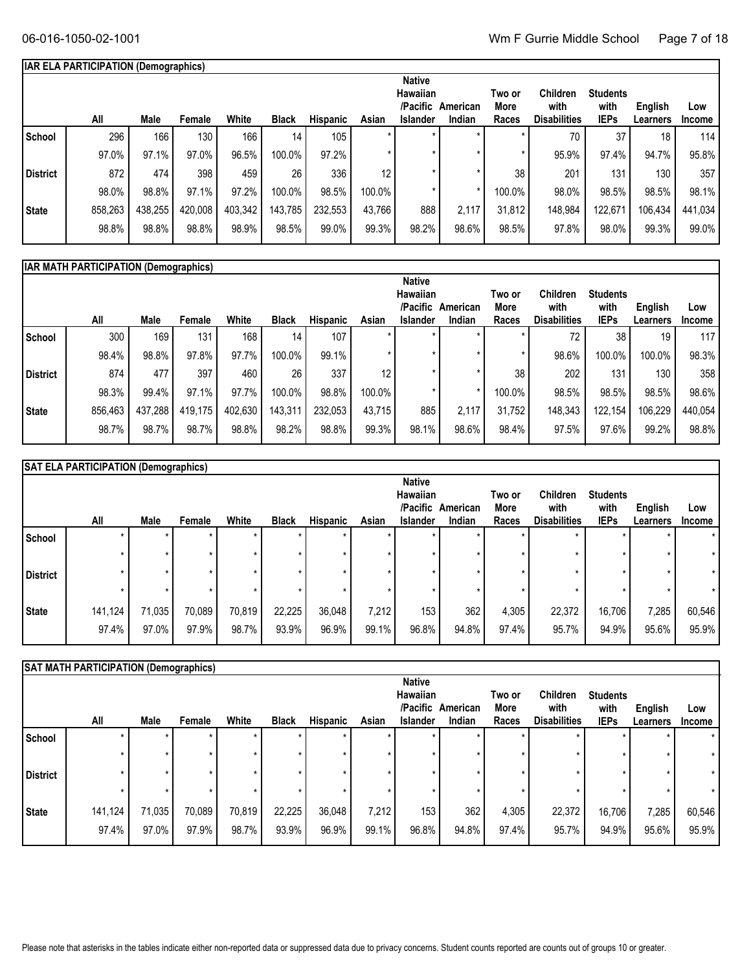# **IAR ELA PARTICIPATION (Demographics)**

|              | All     | Male    | Female           | White   | <b>Black</b> | <b>Hispanic</b> | Asian   | <b>Native</b><br>Hawaiian<br>/Pacific<br><b>Islander</b> | American<br>Indian | Two or<br>More<br>Races | Children<br>with<br><b>Disabilities</b> | <b>Students</b><br>with<br><b>IEPs</b> | English<br>Learners | Low<br><b>Income</b> |
|--------------|---------|---------|------------------|---------|--------------|-----------------|---------|----------------------------------------------------------|--------------------|-------------------------|-----------------------------------------|----------------------------------------|---------------------|----------------------|
| School       | 296     | 166     | 130 <sub>1</sub> | 166     | 14           | 105             | *       | $\star$                                                  |                    |                         | 70                                      | 37                                     | 18                  | 114                  |
|              | 97.0%   | 97.1%   | 97.0%            | 96.5%   | 100.0%       | 97.2%           | $\star$ |                                                          |                    |                         | 95.9%                                   | 97.4%                                  | 94.7%               | 95.8%                |
| District     | 872     | 474     | 398              | 459     | 26           | 336             | 12      |                                                          |                    | 38                      | 201                                     | 131                                    | 130                 | 357                  |
|              | 98.0%   | 98.8%   | 97.1%            | 97.2%   | 100.0%       | 98.5%           | 100.0%  |                                                          |                    | 100.0%                  | 98.0%                                   | 98.5%                                  | 98.5%               | 98.1%                |
| <b>State</b> | 858,263 | 438,255 | 420,008          | 403,342 | 143,785      | 232,553         | 43,766  | 888                                                      | 2,117              | 31,812                  | 148,984                                 | 122,671                                | 106,434             | 441,034              |
|              | 98.8%   | 98.8%   | 98.8%            | 98.9%   | 98.5%        | 99.0%           | 99.3%   | 98.2%                                                    | 98.6%              | 98.5%                   | 97.8%                                   | 98.0%                                  | 99.3%               | 99.0%                |

|                 | <b>IAR MATH PARTICIPATION (Demographics)</b> |         |         |         |                 |          |                 |                                                   |                    |                         |                                                |                                        |                                   |                      |
|-----------------|----------------------------------------------|---------|---------|---------|-----------------|----------|-----------------|---------------------------------------------------|--------------------|-------------------------|------------------------------------------------|----------------------------------------|-----------------------------------|----------------------|
|                 | All                                          | Male    | Female  | White   | <b>Black</b>    | Hispanic | Asian           | <b>Native</b><br>Hawaiian<br>/Pacific<br>Islander | American<br>Indian | Two or<br>More<br>Races | <b>Children</b><br>with<br><b>Disabilities</b> | <b>Students</b><br>with<br><b>IEPs</b> | <b>English</b><br><b>Learners</b> | Low<br><b>Income</b> |
| School          | 300                                          | 169     | 131     | 168     | 14 <sub>1</sub> | 107      | $\star$         |                                                   |                    |                         | 72                                             | 38                                     | 19                                | 117                  |
|                 | 98.4%                                        | 98.8%   | 97.8%   | 97.7%   | 100.0%          | 99.1%    | $\star$         |                                                   |                    |                         | 98.6%                                          | 100.0%                                 | 100.0%                            | 98.3%                |
| <b>District</b> | 874                                          | 477     | 397     | 460     | 26              | 337      | 12 <sub>1</sub> |                                                   |                    | 38                      | 202                                            | 131                                    | 130                               | 358                  |
|                 | 98.3%                                        | 99.4%   | 97.1%   | 97.7%   | 100.0%          | 98.8%    | 100.0%          |                                                   |                    | 100.0%                  | 98.5%                                          | 98.5%                                  | 98.5%                             | 98.6%                |
| State           | 856,463                                      | 437,288 | 419.175 | 402,630 | 143,311         | 232,053  | 43.715          | 885                                               | 2.117              | 31.752                  | 148,343                                        | 122.154                                | 106,229                           | 440,054              |
|                 | 98.7%                                        | 98.7%   | 98.7%   | 98.8%   | 98.2%           | 98.8%    | 99.3%           | 98.1%                                             | 98.6%              | 98.4%                   | 97.5%                                          | 97.6%                                  | 99.2%                             | 98.8%                |
|                 |                                              |         |         |         |                 |          |                 |                                                   |                    |                         |                                                |                                        |                                   |                      |

|                 | <b>SAT ELA PARTICIPATION (Demographics)</b> |         |         |         |              |                 |       |                 |          |        |                     |                 |          |               |
|-----------------|---------------------------------------------|---------|---------|---------|--------------|-----------------|-------|-----------------|----------|--------|---------------------|-----------------|----------|---------------|
|                 |                                             |         |         |         |              |                 |       | <b>Native</b>   |          |        |                     |                 |          |               |
|                 |                                             |         |         |         |              |                 |       | Hawaiian        |          | Two or | <b>Children</b>     | <b>Students</b> |          |               |
|                 |                                             |         |         |         |              |                 |       | /Pacific        | American | More   | with                | with            | English  | Low           |
|                 | All                                         | Male    | Female  | White   | <b>Black</b> | <b>Hispanic</b> | Asian | <b>Islander</b> | Indian   | Races  | <b>Disabilities</b> | <b>IEPs</b>     | Learners | <b>Income</b> |
| School          | $\star$                                     |         | $\star$ |         |              | $\star$         |       |                 |          |        |                     |                 |          | $\star$       |
|                 | $\star$                                     | $\star$ | ÷       | $\star$ |              | $\star$         |       |                 |          |        | $\star$             |                 |          | $\star$       |
| <b>District</b> | ÷                                           | $\star$ |         | $\star$ |              |                 |       |                 |          |        |                     |                 |          | $\star$       |
|                 | $\star$                                     | $\star$ |         | $\star$ |              |                 |       |                 |          |        | $\star$             |                 |          | $\star$       |
| State           | 141,124                                     | 71,035  | 70,089  | 70,819  | 22,225       | 36,048          | 7,212 | 153             | 362      | 4,305  | 22,372              | 16,706          | 7,285    | 60,546        |
|                 | 97.4%                                       | 97.0%   | 97.9%   | 98.7%   | 93.9%        | 96.9%           | 99.1% | 96.8%           | 94.8%    | 97.4%  | 95.7%               | 94.9%           | 95.6%    | 95.9%         |

|                 | SAT MATH PARTICIPATION (Demographics) |                 |                 |                 |                 |                    |                |                                                          |                    |                         |                                         |                                        |                     |                      |
|-----------------|---------------------------------------|-----------------|-----------------|-----------------|-----------------|--------------------|----------------|----------------------------------------------------------|--------------------|-------------------------|-----------------------------------------|----------------------------------------|---------------------|----------------------|
|                 | All                                   | Male            | Female          | White           | <b>Black</b>    | <b>Hispanic</b>    | Asian          | <b>Native</b><br>Hawaiian<br>/Pacific<br><b>Islander</b> | American<br>Indian | Two or<br>More<br>Races | Children<br>with<br><b>Disabilities</b> | <b>Students</b><br>with<br><b>IEPs</b> | English<br>Learners | Low<br><b>Income</b> |
| School          | *                                     |                 | $\star$<br>÷    | $\star$         |                 | $\star$<br>$\star$ |                |                                                          |                    |                         |                                         | $\star$                                |                     |                      |
| <b>District</b> | $\star$                               |                 |                 | $\star$         |                 | $\star$<br>$\star$ |                |                                                          |                    |                         |                                         | $\star$<br>$\star$                     |                     |                      |
| <b>State</b>    | 141,124<br>97.4%                      | 71,035<br>97.0% | 70,089<br>97.9% | 70,819<br>98.7% | 22,225<br>93.9% | 36,048<br>96.9%    | 7,212<br>99.1% | 153<br>96.8%                                             | 362<br>94.8%       | 4,305<br>97.4%          | 22,372<br>95.7%                         | 16,706<br>94.9%                        | 7,285<br>95.6%      | 60,546<br>95.9%      |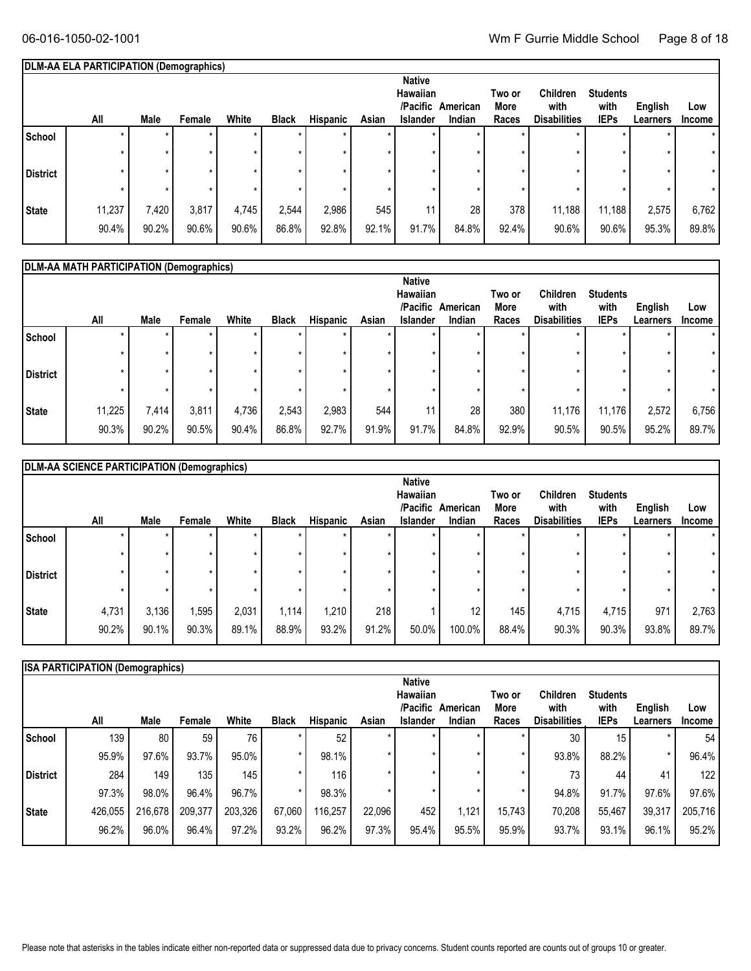# **DLM-AA ELA PARTICIPATION (Demographics)**

|                 | All    | Male  | Female | White | <b>Black</b> | Hispanic | Asian | <b>Native</b><br>Hawaiian<br>/Pacific<br><b>Islander</b> | American<br>Indian | Two or<br>More<br>Races | Children<br>with<br><b>Disabilities</b> | <b>Students</b><br>with<br><b>IEPs</b> | <b>English</b><br>Learners | Low<br>Income |
|-----------------|--------|-------|--------|-------|--------------|----------|-------|----------------------------------------------------------|--------------------|-------------------------|-----------------------------------------|----------------------------------------|----------------------------|---------------|
| School          |        |       |        |       |              |          |       | $\star$                                                  |                    |                         |                                         |                                        | $\star$                    | $\star$       |
|                 |        |       |        |       |              |          |       |                                                          |                    |                         |                                         |                                        | *                          |               |
| <b>District</b> |        |       |        |       |              |          |       |                                                          |                    |                         |                                         |                                        | *                          | $\star$       |
|                 |        |       |        |       |              |          |       |                                                          |                    |                         |                                         |                                        |                            |               |
| <b>State</b>    | 11,237 | 7,420 | 3,817  | 4,745 | 2,544        | 2,986    | 545   | 11                                                       | 28                 | 378                     | 11,188                                  | 11,188                                 | 2,575                      | 6,762         |
|                 | 90.4%  | 90.2% | 90.6%  | 90.6% | 86.8%        | 92.8%    | 92.1% | 91.7%                                                    | 84.8%              | 92.4%                   | 90.6%                                   | 90.6%                                  | 95.3%                      | 89.8%         |

|                 | DLM-AA MATH PARTICIPATION (Demographics) |       |        |         |              |                 |         |                             |          |                |                         |                         |          |               |
|-----------------|------------------------------------------|-------|--------|---------|--------------|-----------------|---------|-----------------------------|----------|----------------|-------------------------|-------------------------|----------|---------------|
|                 |                                          |       |        |         |              |                 |         | <b>Native</b>               |          |                |                         |                         |          |               |
|                 |                                          |       |        |         |              |                 |         | <b>Hawaiian</b><br>/Pacific | American | Two or<br>More | <b>Children</b><br>with | <b>Students</b><br>with | English  | Low           |
|                 | All                                      | Male  | Female | White   | <b>Black</b> | <b>Hispanic</b> | Asian   | Islander                    | Indian   | Races          | <b>Disabilities</b>     | <b>IEPs</b>             | Learners | <b>Income</b> |
| School          |                                          |       |        |         |              |                 |         |                             |          |                |                         |                         |          | $\star$       |
|                 |                                          | ÷     |        | $\star$ | $\star$      | $\star$         | $\star$ |                             |          |                |                         | $\star$                 | $\star$  | $\star$       |
| <b>District</b> |                                          |       |        |         | ÷            | $\star$         | $\star$ |                             |          |                |                         | ÷                       | $\star$  | $\star$       |
|                 |                                          |       |        | $\star$ |              | $\star$         | $\star$ |                             |          |                |                         |                         |          | $\star$       |
| State           | 11,225                                   | 7,414 | 3,811  | 4,736   | 2,543        | 2,983           | 544     | 11 <sub>1</sub>             | 28       | 380            | 11,176                  | 11,176                  | 2,572    | 6,756         |
|                 | 90.3%                                    | 90.2% | 90.5%  | 90.4%   | 86.8%        | 92.7%           | 91.9%   | 91.7%                       | 84.8%    | 92.9%          | 90.5%                   | 90.5%                   | 95.2%    | 89.7%         |

|                 | DLM-AA SCIENCE PARTICIPATION (Demographics) |       |        |         |              |                    |       |                                                          |                    |                         |                                                |                                        |                     |                      |
|-----------------|---------------------------------------------|-------|--------|---------|--------------|--------------------|-------|----------------------------------------------------------|--------------------|-------------------------|------------------------------------------------|----------------------------------------|---------------------|----------------------|
|                 | All                                         | Male  | Female | White   | <b>Black</b> | <b>Hispanic</b>    | Asian | <b>Native</b><br>Hawaiian<br>/Pacific<br><b>Islander</b> | American<br>Indian | Two or<br>More<br>Races | <b>Children</b><br>with<br><b>Disabilities</b> | <b>Students</b><br>with<br><b>IEPs</b> | English<br>Learners | Low<br><b>Income</b> |
| School          |                                             |       |        |         |              | $\star$            |       |                                                          |                    |                         |                                                |                                        |                     |                      |
| <b>District</b> |                                             |       |        | $\star$ |              | $\star$<br>$\star$ |       |                                                          |                    |                         |                                                | $\star$<br>$\star$                     |                     | $\star$              |
|                 |                                             |       |        | $\star$ |              | $\star$            |       |                                                          |                    |                         |                                                | $\star$                                |                     |                      |
| <b>State</b>    | 4,731                                       | 3,136 | ,595   | 2,031   | 1,114        | 1,210              | 218   |                                                          | 12                 | 145                     | 4,715                                          | 4,715                                  | 971                 | 2,763                |
|                 | 90.2%                                       | 90.1% | 90.3%  | 89.1%   | 88.9%        | 93.2%              | 91.2% | 50.0%                                                    | 100.0%             | 88.4%                   | 90.3%                                          | 90.3%                                  | 93.8%               | 89.7%                |

|              | <b>ISA PARTICIPATION (Demographics)</b> |         |         |         |              |                 |        |                 |          |         |                     |                 |          |                  |
|--------------|-----------------------------------------|---------|---------|---------|--------------|-----------------|--------|-----------------|----------|---------|---------------------|-----------------|----------|------------------|
|              |                                         |         |         |         |              |                 |        | <b>Native</b>   |          |         |                     |                 |          |                  |
|              |                                         |         |         |         |              |                 |        | Hawaiian        |          | Two or  | <b>Children</b>     | <b>Students</b> |          |                  |
|              |                                         |         |         |         |              |                 |        | /Pacific        | American | More    | with                | with            | English  | Low              |
|              | All                                     | Male    | Female  | White   | <b>Black</b> | <b>Hispanic</b> | Asian  | <b>Islander</b> | Indian   | Races   | <b>Disabilities</b> | <b>IEPs</b>     | Learners | <b>Income</b>    |
| School       | 139                                     | 80      | 59      | 76      |              | 52              |        |                 |          |         | 30                  | 15              |          | 54               |
|              | 95.9%                                   | 97.6%   | 93.7%   | 95.0%   |              | 98.1%           |        |                 |          | $\star$ | 93.8%               | 88.2%           |          | 96.4%            |
| l District   | 284                                     | 149     | 135     | 145     |              | 116             |        |                 |          | ÷       | 73                  | 44              | 41       | 122 <sub>1</sub> |
|              | 97.3%                                   | 98.0%   | 96.4%   | 96.7%   |              | 98.3%           |        |                 |          | $\star$ | 94.8%               | 91.7%           | 97.6%    | 97.6%            |
| <b>State</b> | 426,055                                 | 216,678 | 209,377 | 203,326 | 67,060       | 116,257         | 22.096 | 452             | 1,121    | 15.743  | 70,208              | 55,467          | 39,317   | 205,716          |
|              | 96.2%                                   | 96.0%   | 96.4%   | 97.2%   | 93.2%        | 96.2%           | 97.3%  | 95.4%           | 95.5%    | 95.9%   | 93.7%               | $93.1\%$        | 96.1%    | 95.2%            |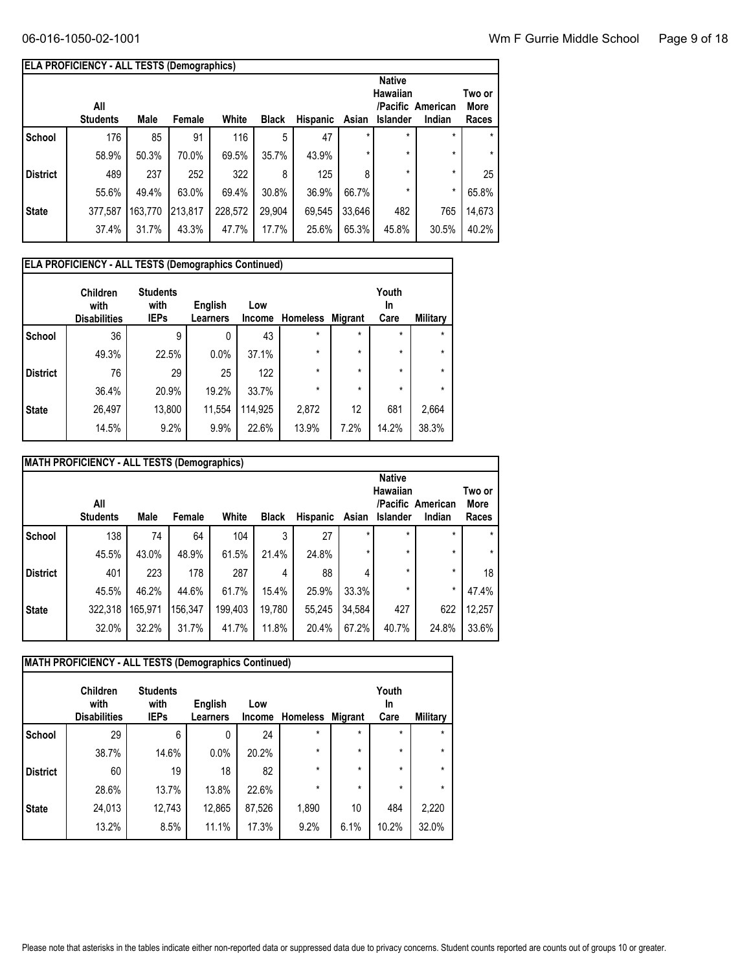| ELA PROFICIENCY - ALL TESTS (Demographics) |  |
|--------------------------------------------|--|
|                                            |  |

|                 | <b>Native</b><br>Hawaiian<br>All<br>/Pacific American |         |         |         |              |                 |         |                 |         | Two or<br>More |
|-----------------|-------------------------------------------------------|---------|---------|---------|--------------|-----------------|---------|-----------------|---------|----------------|
|                 | <b>Students</b>                                       | Male    | Female  | White   | <b>Black</b> | <b>Hispanic</b> | Asian   | <b>Islander</b> | Indian  | Races          |
| School          | 176                                                   | 85      | 91      | 116     | 5            | 47              | $\star$ | $\star$         | $\star$ | $\star$        |
|                 | 58.9%                                                 | 50.3%   | 70.0%   | 69.5%   | 35.7%        | 43.9%           | $\star$ | $\star$         | $\star$ | $\star$        |
| <b>District</b> | 489                                                   | 237     | 252     | 322     | 8            | 125             | 8       | $\star$         | $\star$ | 25             |
|                 | 55.6%                                                 | 49.4%   | 63.0%   | 69.4%   | 30.8%        | 36.9%           | 66.7%   | $\star$         | $\star$ | 65.8%          |
| <b>State</b>    | 377,587                                               | 163,770 | 213,817 | 228,572 | 29,904       | 69,545          | 33,646  | 482             | 765     | 14,673         |
|                 | 37.4%                                                 | 31.7%   | 43.3%   | 47.7%   | 17.7%        | 25.6%           | 65.3%   | 45.8%           | 30.5%   | 40.2%          |
|                 |                                                       |         |         |         |              |                 |         |                 |         |                |

|                 | <b>ELA PROFICIENCY - ALL TESTS (Demographics Continued)</b> |                                        |                            |                      |                 |                |                     |                 |  |  |  |  |  |
|-----------------|-------------------------------------------------------------|----------------------------------------|----------------------------|----------------------|-----------------|----------------|---------------------|-----------------|--|--|--|--|--|
|                 | <b>Children</b><br>with<br><b>Disabilities</b>              | <b>Students</b><br>with<br><b>IEPs</b> | English<br><b>Learners</b> | Low<br><b>Income</b> | <b>Homeless</b> | <b>Migrant</b> | Youth<br>In<br>Care | <b>Military</b> |  |  |  |  |  |
| <b>School</b>   | 36                                                          | 9                                      | 0                          | 43                   | $\star$         | $\star$        | $\star$             | $\star$         |  |  |  |  |  |
|                 | 49.3%                                                       | 22.5%                                  | 0.0%                       | 37.1%                | $\star$         | $\star$        | $\star$             | $\star$         |  |  |  |  |  |
| <b>District</b> | 76                                                          | 29                                     | 25                         | 122                  | $\star$         | $\star$        | $\star$             | $\star$         |  |  |  |  |  |
|                 | 36.4%                                                       | 20.9%                                  | 19.2%                      | 33.7%                | $\star$         | $\star$        | $\star$             | $\star$         |  |  |  |  |  |
| <b>State</b>    | 26,497                                                      | 13,800                                 | 11,554                     | 114,925              | 2,872           | 12             | 681                 | 2,664           |  |  |  |  |  |
|                 | 14.5%                                                       | 9.2%                                   | 9.9%                       | 22.6%                | 13.9%           | 7.2%           | 14.2%               | 38.3%           |  |  |  |  |  |

| MATH PROFICIENCY - ALL TESTS (Demographics) |                        |                                                                                                                                                                               |         |         |        |        |         |         |         |         |  |  |
|---------------------------------------------|------------------------|-------------------------------------------------------------------------------------------------------------------------------------------------------------------------------|---------|---------|--------|--------|---------|---------|---------|---------|--|--|
|                                             | All<br><b>Students</b> | <b>Native</b><br>Hawaiian<br>Two or<br>/Pacific American<br>More<br>White<br><b>Black</b><br><b>Hispanic</b><br>Male<br>Female<br>Asian<br><b>Islander</b><br>Indian<br>Races |         |         |        |        |         |         |         |         |  |  |
| <b>School</b>                               | 138                    | 74                                                                                                                                                                            | 64      | 104     | 3      | 27     | *       | $\star$ | $\star$ |         |  |  |
|                                             | 45.5%                  | 43.0%                                                                                                                                                                         | 48.9%   | 61.5%   | 21.4%  | 24.8%  | $\star$ | $\star$ | $\star$ | $\star$ |  |  |
| <b>District</b>                             | 401                    | 223                                                                                                                                                                           | 178     | 287     | 4      | 88     |         | $\star$ | $\star$ | 18      |  |  |
|                                             | 45.5%                  | 46.2%                                                                                                                                                                         | 44.6%   | 61.7%   | 15.4%  | 25.9%  | 33.3%   | $\star$ | $\star$ | 47.4%   |  |  |
| <b>State</b>                                | 322,318                | 165,971                                                                                                                                                                       | 156,347 | 199.403 | 19,780 | 55,245 | 34,584  | 427     | 622     | 12,257  |  |  |
|                                             | 32.0%                  | 32.2%                                                                                                                                                                         | 31.7%   | 41.7%   | 11.8%  | 20.4%  | 67.2%   | 40.7%   | 24.8%   | 33.6%   |  |  |

|                 | <b>MATH PROFICIENCY - ALL TESTS (Demographics Continued)</b> |                                        |                     |                      |                 |                |                            |          |  |  |  |  |  |
|-----------------|--------------------------------------------------------------|----------------------------------------|---------------------|----------------------|-----------------|----------------|----------------------------|----------|--|--|--|--|--|
|                 | <b>Children</b><br>with<br><b>Disabilities</b>               | <b>Students</b><br>with<br><b>IEPs</b> | English<br>Learners | Low<br><b>Income</b> | <b>Homeless</b> | <b>Migrant</b> | Youth<br><b>In</b><br>Care | Military |  |  |  |  |  |
| <b>School</b>   | 29                                                           | 6                                      | 0                   | 24                   | $\star$         | $\star$        | $\star$                    | $\star$  |  |  |  |  |  |
|                 | 38.7%                                                        | 14.6%                                  | 0.0%                | 20.2%                | $\star$         | $\star$        | $\star$                    | $\star$  |  |  |  |  |  |
| <b>District</b> | 60                                                           | 19                                     | 18                  | 82                   | $\star$         | $\star$        | $\star$                    | $\star$  |  |  |  |  |  |
|                 | 28.6%                                                        | 13.7%                                  | 13.8%               | 22.6%                | $\star$         | $\star$        | $\star$                    | $\star$  |  |  |  |  |  |
| <b>State</b>    | 24,013                                                       | 12,743                                 | 12,865              | 87,526               | 1,890           | 10             | 484                        | 2,220    |  |  |  |  |  |
|                 | 13.2%                                                        | 8.5%                                   | 11.1%               | 17.3%                | 9.2%            | 6.1%           | 10.2%                      | 32.0%    |  |  |  |  |  |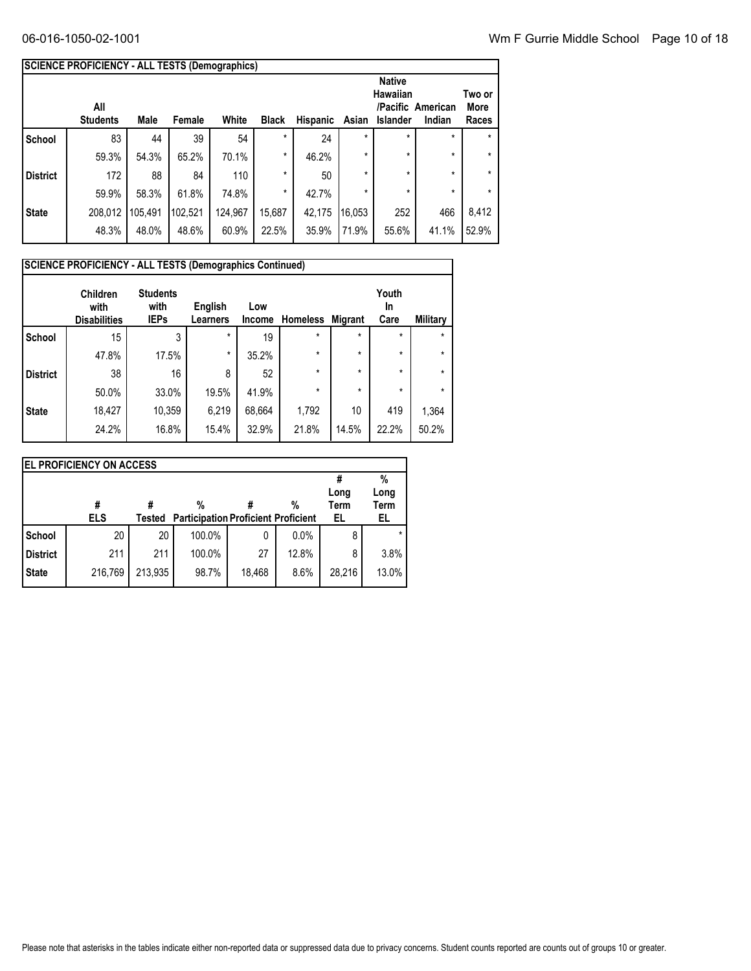|                 | <b>SCIENCE PROFICIENCY - ALL TESTS (Demographics)</b>                                                                                                                                            |         |         |         |         |        |         |         |         |         |  |
|-----------------|--------------------------------------------------------------------------------------------------------------------------------------------------------------------------------------------------|---------|---------|---------|---------|--------|---------|---------|---------|---------|--|
|                 | <b>Native</b><br><b>Hawaiian</b><br>Two or<br>/Pacific American<br>All<br>More<br>White<br><b>Students</b><br>Male<br><b>Black</b><br>Hispanic<br>Female<br>Asian<br>Islander<br>Indian<br>Races |         |         |         |         |        |         |         |         |         |  |
| <b>School</b>   | 83                                                                                                                                                                                               | 44      | 39      | 54      | $\star$ | 24     | $\star$ | $\star$ | $\star$ | $\star$ |  |
|                 | 59.3%                                                                                                                                                                                            | 54.3%   | 65.2%   | 70.1%   | $\star$ | 46.2%  | $\star$ | $\star$ | $\star$ | $\star$ |  |
| <b>District</b> | 172                                                                                                                                                                                              | 88      | 84      | 110     | $\star$ | 50     | $\star$ | $\star$ | $\star$ | $\star$ |  |
|                 | 59.9%                                                                                                                                                                                            | 58.3%   | 61.8%   | 74.8%   | $\star$ | 42.7%  | $\star$ | $\star$ | $\star$ | $\star$ |  |
| <b>State</b>    | 208,012                                                                                                                                                                                          | 105,491 | 102,521 | 124,967 | 15,687  | 42,175 | 16,053  | 252     | 466     | 8,412   |  |
|                 | 48.3%                                                                                                                                                                                            | 48.0%   | 48.6%   | 60.9%   | 22.5%   | 35.9%  | 71.9%   | 55.6%   | 41.1%   | 52.9%   |  |

|                 | <b>SCIENCE PROFICIENCY - ALL TESTS (Demographics Continued)</b> |                                        |                            |                      |                 |                |                     |                 |  |  |  |  |
|-----------------|-----------------------------------------------------------------|----------------------------------------|----------------------------|----------------------|-----------------|----------------|---------------------|-----------------|--|--|--|--|
|                 | <b>Children</b><br>with<br><b>Disabilities</b>                  | <b>Students</b><br>with<br><b>IEPs</b> | English<br><b>Learners</b> | Low<br><b>Income</b> | <b>Homeless</b> | <b>Migrant</b> | Youth<br>In<br>Care | <b>Military</b> |  |  |  |  |
| <b>School</b>   | 15                                                              | 3                                      | $\star$                    | 19                   | $\star$         | $\star$        | $\star$             | $\star$         |  |  |  |  |
|                 | 47.8%                                                           | 17.5%                                  | $\star$                    | 35.2%                | $\star$         | $\star$        | $\star$             | $\star$         |  |  |  |  |
| <b>District</b> | 38                                                              | 16                                     | 8                          | 52                   | $\star$         | $\star$        | $\star$             | $\star$         |  |  |  |  |
|                 | 50.0%                                                           | 33.0%                                  | 19.5%                      | 41.9%                | $\star$         | $\star$        | $\star$             | $\star$         |  |  |  |  |
| <b>State</b>    | 18,427                                                          | 10,359                                 | 6,219                      | 68,664               | 1,792           | 10             | 419                 | 1,364           |  |  |  |  |
|                 | 24.2%                                                           | 16.8%                                  | 15.4%                      | 32.9%                | 21.8%           | 14.5%          | 22.2%               | 50.2%           |  |  |  |  |

| <b>EL PROFICIENCY ON ACCESS</b> |                 |         |                                                 |        |       |                   |             |  |  |  |  |
|---------------------------------|-----------------|---------|-------------------------------------------------|--------|-------|-------------------|-------------|--|--|--|--|
|                                 |                 |         |                                                 |        |       | Long              | %<br>Long   |  |  |  |  |
|                                 | #<br><b>ELS</b> | Tested  | %<br><b>Participation Proficient Proficient</b> |        | %     | <b>Term</b><br>EL | Term<br>EL. |  |  |  |  |
| <b>School</b>                   | 20              | 20      | 100.0%                                          | 0      | 0.0%  | 8                 |             |  |  |  |  |
| District                        | 211             | 211     | 100.0%                                          | 27     | 12.8% | 8                 | 3.8%        |  |  |  |  |
| State                           | 216,769         | 213,935 | 98.7%                                           | 18,468 | 8.6%  | 28,216            | 13.0%       |  |  |  |  |
|                                 |                 |         |                                                 |        |       |                   |             |  |  |  |  |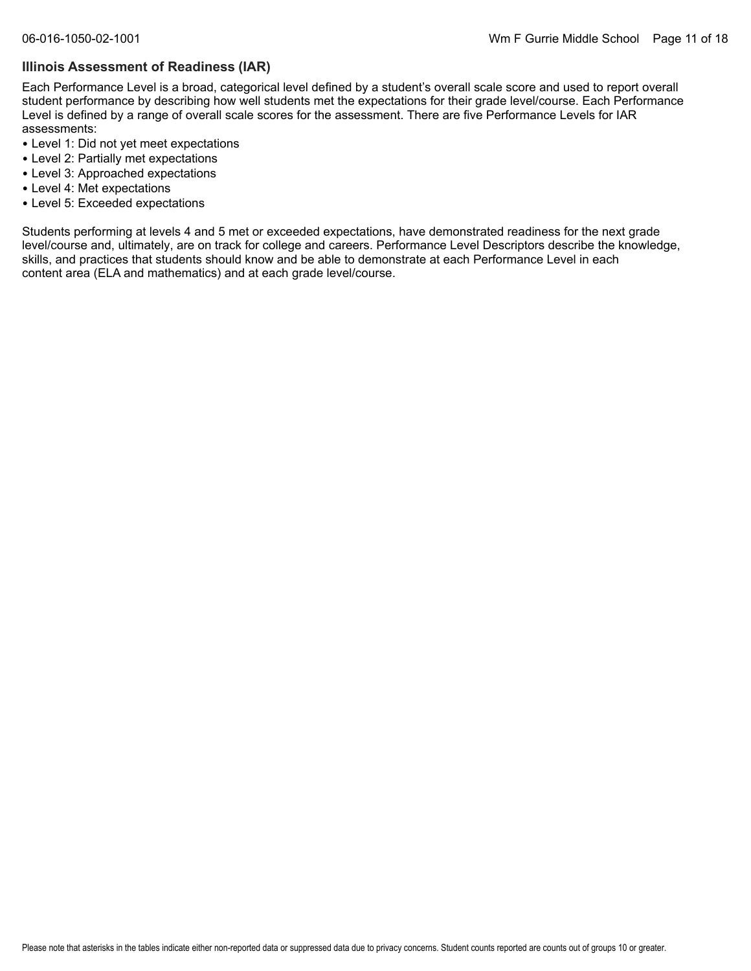#### **Illinois Assessment of Readiness (IAR)**

Each Performance Level is a broad, categorical level defined by a student's overall scale score and used to report overall student performance by describing how well students met the expectations for their grade level/course. Each Performance Level is defined by a range of overall scale scores for the assessment. There are five Performance Levels for IAR assessments:

- Level 1: Did not yet meet expectations
- Level 2: Partially met expectations
- Level 3: Approached expectations
- Level 4: Met expectations
- Level 5: Exceeded expectations

Students performing at levels 4 and 5 met or exceeded expectations, have demonstrated readiness for the next grade level/course and, ultimately, are on track for college and careers. Performance Level Descriptors describe the knowledge, skills, and practices that students should know and be able to demonstrate at each Performance Level in each content area (ELA and mathematics) and at each grade level/course.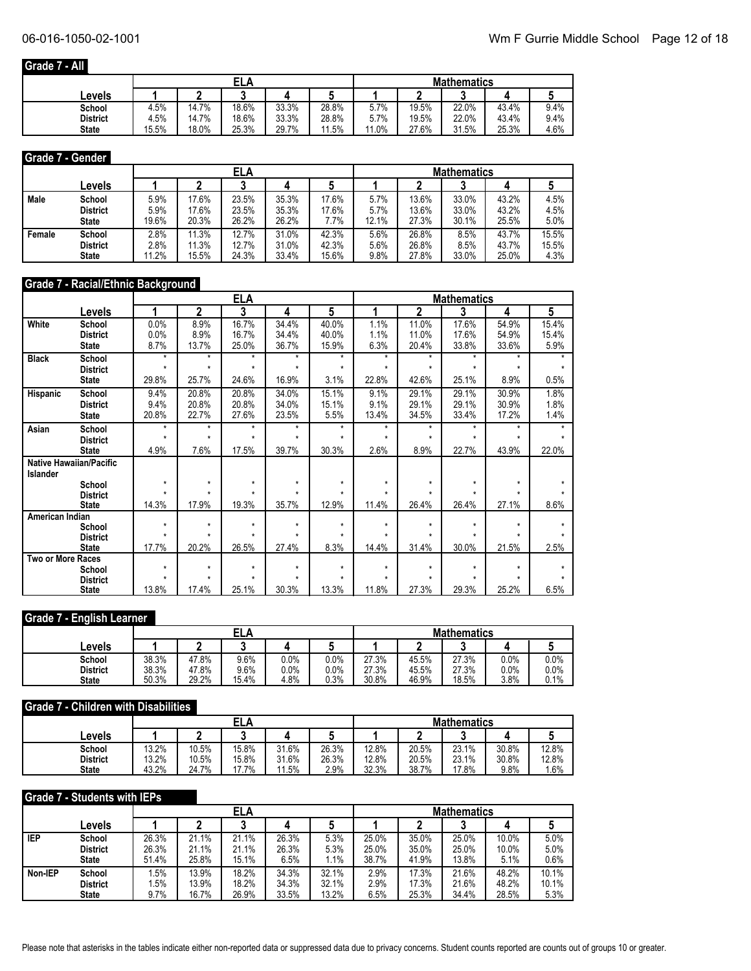# **Grade 7 - All**

|                 |       |       | ELA   |       |       | <b>Mathematics</b> |       |       |       |      |  |
|-----------------|-------|-------|-------|-------|-------|--------------------|-------|-------|-------|------|--|
| Levels          |       |       |       |       |       |                    |       | ◠     |       |      |  |
| School          | 4.5%  | 14.7% | 18.6% | 33.3% | 28.8% | 5.7%               | 19.5% | 22.0% | 43.4% | 9.4% |  |
| <b>District</b> | 4.5%  | 14.7% | 18.6% | 33.3% | 28.8% | 5.7%               | 19.5% | 22.0% | 43.4% | 9.4% |  |
| <b>State</b>    | 15.5% | 18.0% | 25.3% | 29.7% | 11.5% | 11.0%              | 27.6% | 31.5% | 25.3% | 4.6% |  |

#### **Grade 7 - Gender**

|        |                 |       |       | ELA   |       |       | <b>Mathematics</b> |       |       |       |       |  |
|--------|-----------------|-------|-------|-------|-------|-------|--------------------|-------|-------|-------|-------|--|
|        | Levels          |       |       |       |       |       |                    |       |       |       |       |  |
| Male   | School          | 5.9%  | 17.6% | 23.5% | 35.3% | 17.6% | 5.7%               | 13.6% | 33.0% | 43.2% | 4.5%  |  |
|        | <b>District</b> | 5.9%  | 17.6% | 23.5% | 35.3% | 17.6% | 5.7%               | 13.6% | 33.0% | 43.2% | 4.5%  |  |
|        | <b>State</b>    | 19.6% | 20.3% | 26.2% | 26.2% | 7.7%  | 12.1%              | 27.3% | 30.1% | 25.5% | 5.0%  |  |
| Female | School          | 2.8%  | 11.3% | 12.7% | 31.0% | 42.3% | 5.6%               | 26.8% | 8.5%  | 43.7% | 15.5% |  |
|        | <b>District</b> | 2.8%  | 11.3% | 12.7% | 31.0% | 42.3% | 5.6%               | 26.8% | 8.5%  | 43.7% | 15.5% |  |
|        | <b>State</b>    | 11.2% | 15.5% | 24.3% | 33.4% | 15.6% | 9.8%               | 27.8% | 33.0% | 25.0% | 4.3%  |  |

# **Grade 7 - Racial/Ethnic Background**

|                          |                                 | <u>ELA</u><br><b>Mathematics</b> |         |         |         |         |         |         |         |         |       |
|--------------------------|---------------------------------|----------------------------------|---------|---------|---------|---------|---------|---------|---------|---------|-------|
|                          | Levels                          | 1                                | 2       | 3       | 4       | 5       |         | 2       | 3       | 4       | 5     |
| White                    | School                          | 0.0%                             | 8.9%    | 16.7%   | 34.4%   | 40.0%   | 1.1%    | 11.0%   | 17.6%   | 54.9%   | 15.4% |
|                          | <b>District</b>                 | 0.0%                             | 8.9%    | 16.7%   | 34.4%   | 40.0%   | 1.1%    | 11.0%   | 17.6%   | 54.9%   | 15.4% |
|                          | <b>State</b>                    | 8.7%                             | 13.7%   | 25.0%   | 36.7%   | 15.9%   | 6.3%    | 20.4%   | 33.8%   | 33.6%   | 5.9%  |
| <b>Black</b>             | School                          | $\star$                          | $\star$ | $\star$ | $\star$ | $\star$ | $\star$ | $\star$ | $\star$ | $\star$ |       |
|                          | <b>District</b>                 | $\star$                          | $\star$ | $\star$ | $\star$ | $\star$ | $\star$ | $\star$ | $\star$ | $\star$ |       |
|                          | <b>State</b>                    | 29.8%                            | 25.7%   | 24.6%   | 16.9%   | 3.1%    | 22.8%   | 42.6%   | 25.1%   | 8.9%    | 0.5%  |
| Hispanic                 | School                          | 9.4%                             | 20.8%   | 20.8%   | 34.0%   | 15.1%   | 9.1%    | 29.1%   | 29.1%   | 30.9%   | 1.8%  |
|                          | <b>District</b>                 | 9.4%                             | 20.8%   | 20.8%   | 34.0%   | 15.1%   | 9.1%    | 29.1%   | 29.1%   | 30.9%   | 1.8%  |
|                          | <b>State</b>                    | 20.8%                            | 22.7%   | 27.6%   | 23.5%   | 5.5%    | 13.4%   | 34.5%   | 33.4%   | 17.2%   | 1.4%  |
| Asian                    | School                          | $\star$                          | *       | $\star$ | $\star$ | $\star$ | $\star$ | *       | $\star$ | ÷       |       |
|                          | <b>District</b>                 | $\star$                          | $\star$ | $\star$ | $\star$ | $\star$ | $\star$ | $\star$ | $\star$ | $\star$ |       |
|                          | <b>State</b>                    | 4.9%                             | 7.6%    | 17.5%   | 39.7%   | 30.3%   | 2.6%    | 8.9%    | 22.7%   | 43.9%   | 22.0% |
|                          | <b>Native Hawaiian/Pacific</b>  |                                  |         |         |         |         |         |         |         |         |       |
| Islander                 |                                 |                                  |         |         |         |         |         |         |         |         |       |
|                          | School                          | $\star$                          | $\star$ | $\star$ | $\star$ | $\star$ | $\star$ | $\star$ | $\star$ | $\star$ |       |
|                          | <b>District</b>                 |                                  | $\star$ |         | $\star$ | $\star$ |         |         | $\star$ |         |       |
|                          | <b>State</b>                    | 14.3%                            | 17.9%   | 19.3%   | 35.7%   | 12.9%   | 11.4%   | 26.4%   | 26.4%   | 27.1%   | 8.6%  |
| American Indian          |                                 | $\star$                          | $\star$ | $\star$ | $\star$ | $\star$ | $\star$ | $\star$ | $\star$ | $\star$ |       |
|                          | School                          |                                  | $\star$ | $\star$ |         |         |         |         | $\star$ |         |       |
|                          | <b>District</b><br><b>State</b> | 17.7%                            | 20.2%   | 26.5%   | 27.4%   | 8.3%    | 14.4%   | 31.4%   | 30.0%   | 21.5%   | 2.5%  |
| <b>Two or More Races</b> |                                 |                                  |         |         |         |         |         |         |         |         |       |
|                          | School                          | $\star$                          | $\star$ | $\star$ | $\star$ | $\star$ | $\star$ | $\star$ | $\star$ | $\star$ |       |
|                          | <b>District</b>                 | $\star$                          | $\star$ | $\star$ | $\star$ | $\star$ | ٠       | $\star$ | ÷       |         |       |
|                          | <b>State</b>                    | 13.8%                            | 17.4%   | 25.1%   | 30.3%   | 13.3%   | 11.8%   | 27.3%   | 29.3%   | 25.2%   | 6.5%  |

#### **Grade 7 - English Learner**

|                 |       |       | ELA   |         |      | <b>Mathematics</b> |       |       |      |      |  |
|-----------------|-------|-------|-------|---------|------|--------------------|-------|-------|------|------|--|
| Levels          |       |       |       |         |      |                    |       |       |      |      |  |
| School          | 38.3% | 47.8% | 9.6%  | $0.0\%$ | 0.0% | 27.3%              | 45.5% | 27.3% | 0.0% | 0.0% |  |
| <b>District</b> | 38.3% | 47.8% | 9.6%  | 0.0%    | 0.0% | 27.3%              | 45.5% | 27.3% | 0.0% | 0.0% |  |
| <b>State</b>    | 50.3% | 29.2% | 15.4% | 4.8%    | 0.3% | 30.8%              | 46.9% | 18.5% | 3.8% | 0.1% |  |

#### **Grade 7 - Children with Disabilities**

|                 |       |       |       |       |       | <b>Mathematics</b> |       |       |       |       |  |
|-----------------|-------|-------|-------|-------|-------|--------------------|-------|-------|-------|-------|--|
| Levels          |       |       |       |       |       |                    |       |       |       |       |  |
| School          | 13.2% | 10.5% | 15.8% | 31.6% | 26.3% | 12.8%              | 20.5% | 23.1% | 30.8% | 12.8% |  |
| <b>District</b> | 13.2% | 10.5% | 15.8% | 31.6% | 26.3% | 12.8%              | 20.5% | 23.1% | 30.8% | 12.8% |  |
| <b>State</b>    | 43.2% | 24.7% | 17.7% | 11.5% | 2.9%  | 32.3%              | 38.7% | 17.8% | 9.8%  | . 6%  |  |

#### **Grade 7 - Students with IEPs**

|            |                 |       | <b>ELA</b> |       |       |         |       | <b>Mathematics</b> |       |       |       |  |
|------------|-----------------|-------|------------|-------|-------|---------|-------|--------------------|-------|-------|-------|--|
|            | <b>Levels</b>   |       |            |       |       |         |       |                    |       |       |       |  |
| <b>IEP</b> | School          | 26.3% | 21.1%      | 21.1% | 26.3% | 5.3%    | 25.0% | 35.0%              | 25.0% | 10.0% | 5.0%  |  |
|            | <b>District</b> | 26.3% | 21.1%      | 21.1% | 26.3% | 5.3%    | 25.0% | 35.0%              | 25.0% | 10.0% | 5.0%  |  |
|            | <b>State</b>    | 51.4% | 25.8%      | 15.1% | 6.5%  | $1.1\%$ | 38.7% | 41.9%              | 13.8% | 5.1%  | 0.6%  |  |
| Non-IEP    | School          | .5%   | 13.9%      | 18.2% | 34.3% | 32.1%   | 2.9%  | 17.3%              | 21.6% | 48.2% | 10.1% |  |
|            | <b>District</b> | .5%   | 13.9%      | 18.2% | 34.3% | 32.1%   | 2.9%  | 17.3%              | 21.6% | 48.2% | 10.1% |  |
|            | <b>State</b>    | 9.7%  | 16.7%      | 26.9% | 33.5% | 13.2%   | 6.5%  | 25.3%              | 34.4% | 28.5% | 5.3%  |  |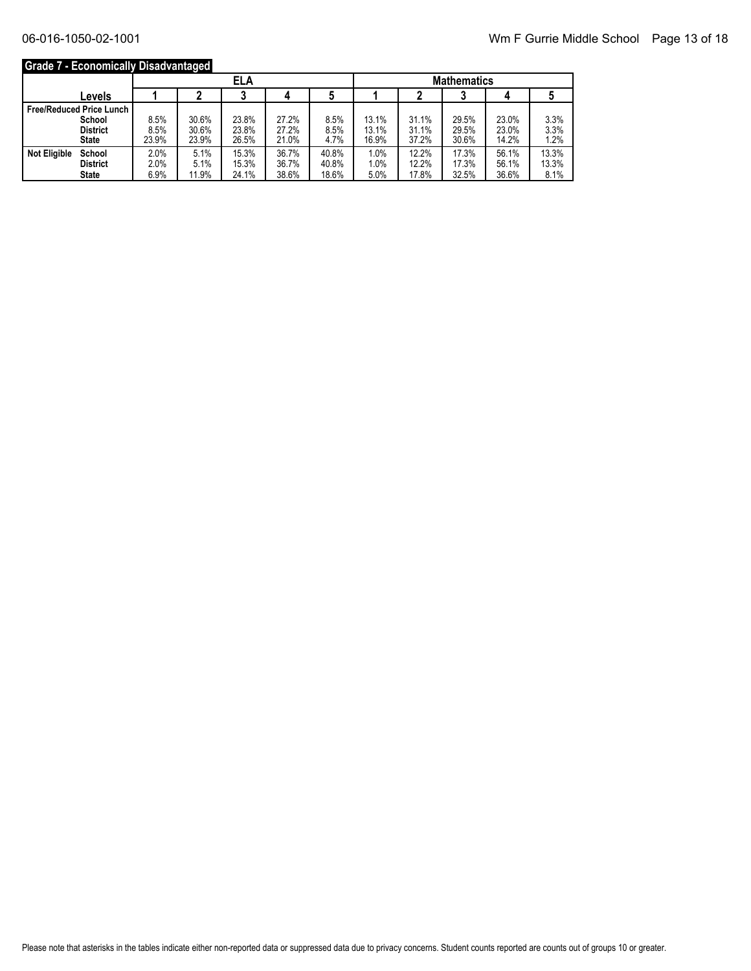# **Grade 7 - Economically Disadvantaged**

|                                 |       |       | <b>ELA</b> |       |       | <b>Mathematics</b> |       |       |       |       |
|---------------------------------|-------|-------|------------|-------|-------|--------------------|-------|-------|-------|-------|
| Levels                          |       |       |            |       |       |                    |       |       |       |       |
| <b>Free/Reduced Price Lunch</b> |       |       |            |       |       |                    |       |       |       |       |
| School                          | 8.5%  | 30.6% | 23.8%      | 27.2% | 8.5%  | 13.1%              | 31.1% | 29.5% | 23.0% | 3.3%  |
| <b>District</b>                 | 8.5%  | 30.6% | 23.8%      | 27.2% | 8.5%  | 13.1%              | 31.1% | 29.5% | 23.0% | 3.3%  |
| <b>State</b>                    | 23.9% | 23.9% | 26.5%      | 21.0% | 4.7%  | 16.9%              | 37.2% | 30.6% | 14.2% | 1.2%  |
| <b>Not Eligible</b><br>School   | 2.0%  | 5.1%  | 15.3%      | 36.7% | 40.8% | 1.0%               | 12.2% | 17.3% | 56.1% | 13.3% |
| <b>District</b>                 | 2.0%  | 5.1%  | 15.3%      | 36.7% | 40.8% | 1.0%               | 12.2% | 17.3% | 56.1% | 13.3% |
| <b>State</b>                    | 6.9%  | 11.9% | 24.1%      | 38.6% | 18.6% | 5.0%               | 17.8% | 32.5% | 36.6% | 8.1%  |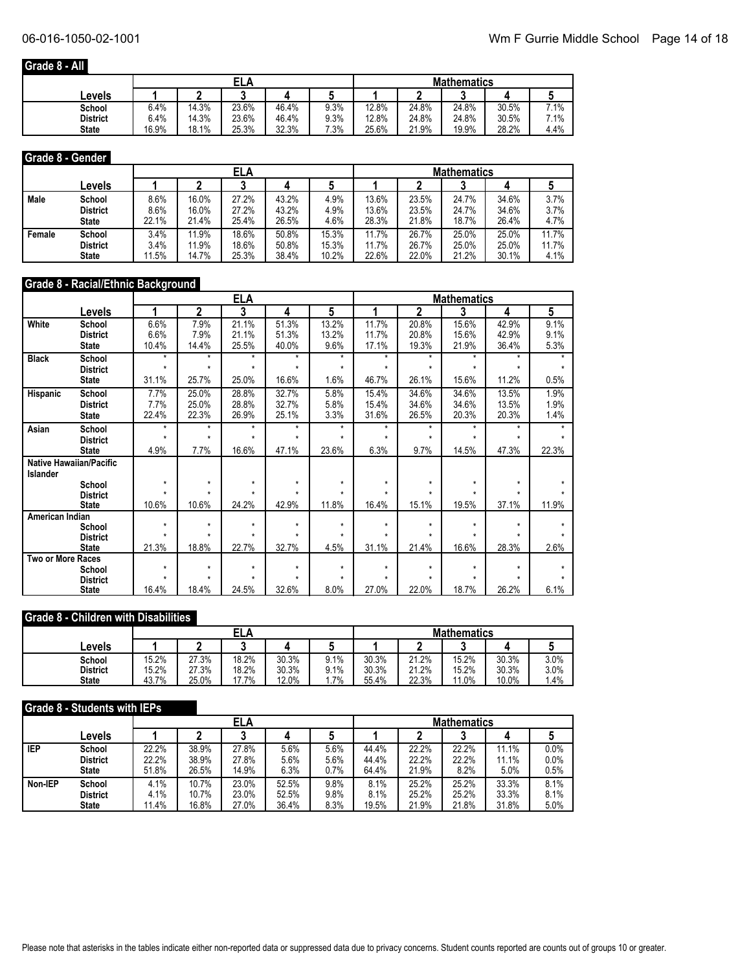# **Grade 8 - All**

|                 |       | ELA   |       |       |      |       | <b>Mathematics</b> |       |       |           |  |  |
|-----------------|-------|-------|-------|-------|------|-------|--------------------|-------|-------|-----------|--|--|
| _evels          |       |       |       |       |      |       |                    |       |       |           |  |  |
| School          | 6.4%  | 14.3% | 23.6% | 46.4% | 9.3% | 12.8% | 24.8%              | 24.8% | 30.5% | 7.1%<br>- |  |  |
| <b>District</b> | 6.4%  | 14.3% | 23.6% | 46.4% | 9.3% | 12.8% | 24.8%              | 24.8% | 30.5% | 7.1%      |  |  |
| <b>State</b>    | 16.9% | 18.1% | 25.3% | 32.3% | 7.3% | 25.6% | 21.9%              | 19.9% | 28.2% | 4.4%      |  |  |

#### **Grade 8 - Gender**

|        |                 |       |       | ELA   |       |       | <b>Mathematics</b> |       |       |       |       |  |
|--------|-----------------|-------|-------|-------|-------|-------|--------------------|-------|-------|-------|-------|--|
|        | Levels          |       |       |       |       |       |                    |       |       |       |       |  |
| Male   | School          | 8.6%  | 16.0% | 27.2% | 43.2% | 4.9%  | 13.6%              | 23.5% | 24.7% | 34.6% | 3.7%  |  |
|        | <b>District</b> | 8.6%  | 16.0% | 27.2% | 43.2% | 4.9%  | 13.6%              | 23.5% | 24.7% | 34.6% | 3.7%  |  |
|        | <b>State</b>    | 22.1% | 21.4% | 25.4% | 26.5% | 4.6%  | 28.3%              | 21.8% | 18.7% | 26.4% | 4.7%  |  |
| Female | School          | 3.4%  | 11.9% | 18.6% | 50.8% | 15.3% | 11.7%              | 26.7% | 25.0% | 25.0% | 11.7% |  |
|        | <b>District</b> | 3.4%  | 11.9% | 18.6% | 50.8% | 15.3% | 11.7%              | 26.7% | 25.0% | 25.0% | 11.7% |  |
|        | <b>State</b>    | 11.5% | 14.7% | 25.3% | 38.4% | 10.2% | 22.6%              | 22.0% | 21.2% | 30.1% | 4.1%  |  |

# **Grade 8 - Racial/Ethnic Background**

|                          |                                |                    |                    | <u>ELA</u> |         |         |         |         | <b>Mathematics</b> |         |       |
|--------------------------|--------------------------------|--------------------|--------------------|------------|---------|---------|---------|---------|--------------------|---------|-------|
|                          | Levels                         |                    | $\mathbf 2$        | 3          | 4       | 5       |         | 2       | 3                  | 4       | 5     |
| White                    | School                         | 6.6%               | 7.9%               | 21.1%      | 51.3%   | 13.2%   | 11.7%   | 20.8%   | 15.6%              | 42.9%   | 9.1%  |
|                          | <b>District</b>                | 6.6%               | 7.9%               | 21.1%      | 51.3%   | 13.2%   | 11.7%   | 20.8%   | 15.6%              | 42.9%   | 9.1%  |
|                          | <b>State</b>                   | 10.4%              | 14.4%              | 25.5%      | 40.0%   | 9.6%    | 17.1%   | 19.3%   | 21.9%              | 36.4%   | 5.3%  |
| <b>Black</b>             | School                         | $\star$            | $\star$            | $\star$    | $\star$ | $\star$ | $\star$ | $\star$ | $\star$            | $\star$ |       |
|                          | <b>District</b>                | $\star$            | $\star$            | $\star$    | $\star$ | $\star$ | $\star$ | $\star$ | $\star$            | $\star$ |       |
|                          | <b>State</b>                   | 31.1%              | 25.7%              | 25.0%      | 16.6%   | 1.6%    | 46.7%   | 26.1%   | 15.6%              | 11.2%   | 0.5%  |
| Hispanic                 | School                         | 7.7%               | 25.0%              | 28.8%      | 32.7%   | 5.8%    | 15.4%   | 34.6%   | 34.6%              | 13.5%   | 1.9%  |
|                          | <b>District</b>                | 7.7%               | 25.0%              | 28.8%      | 32.7%   | 5.8%    | 15.4%   | 34.6%   | 34.6%              | 13.5%   | 1.9%  |
|                          | <b>State</b>                   | 22.4%              | 22.3%              | 26.9%      | 25.1%   | 3.3%    | 31.6%   | 26.5%   | 20.3%              | 20.3%   | 1.4%  |
| Asian                    | School                         | $\star$            | $\star$            | $\star$    | $\star$ | $\star$ | $\star$ | $\star$ | $\star$            | $\star$ |       |
|                          | <b>District</b>                | $\star$            | $\star$            | $\star$    | $\star$ | $\star$ | $\star$ | $\star$ | ÷                  | ÷       |       |
|                          | <b>State</b>                   | 4.9%               | 7.7%               | 16.6%      | 47.1%   | 23.6%   | 6.3%    | 9.7%    | 14.5%              | 47.3%   | 22.3% |
|                          | <b>Native Hawaiian/Pacific</b> |                    |                    |            |         |         |         |         |                    |         |       |
| <b>Islander</b>          |                                |                    |                    |            |         |         |         |         |                    |         |       |
|                          | School                         | $\star$<br>$\star$ | $\star$<br>$\star$ | $\star$    | $\star$ | $\star$ | $\star$ | $\star$ | $\star$<br>÷       | $\star$ |       |
|                          | <b>District</b>                |                    |                    |            |         |         |         |         |                    |         |       |
|                          | <b>State</b>                   | 10.6%              | 10.6%              | 24.2%      | 42.9%   | 11.8%   | 16.4%   | 15.1%   | 19.5%              | 37.1%   | 11.9% |
| American Indian          | School                         | $\star$            | $\star$            | $\star$    | $\star$ | $\star$ | $\star$ | $\star$ | $\star$            | $\star$ |       |
|                          | <b>District</b>                | $\star$            | $\star$            | $\star$    | ÷       |         | $\star$ | $\star$ | ÷                  |         |       |
|                          | <b>State</b>                   | 21.3%              | 18.8%              | 22.7%      | 32.7%   | 4.5%    | 31.1%   | 21.4%   | 16.6%              | 28.3%   | 2.6%  |
| <b>Two or More Races</b> |                                |                    |                    |            |         |         |         |         |                    |         |       |
|                          | School                         | $\star$            | $\star$            | $\star$    | $\star$ | $\star$ | $\star$ | $\star$ | $\star$            | $\star$ |       |
|                          | <b>District</b>                | $\star$            | $\star$            | $\star$    | $\star$ | ÷       | $\star$ | $\star$ | $\star$            |         |       |
|                          | <b>State</b>                   | 16.4%              | 18.4%              | 24.5%      | 32.6%   | 8.0%    | 27.0%   | 22.0%   | 18.7%              | 26.2%   | 6.1%  |

#### **Grade 8 - Children with Disabilities**

|                 |       |       | ELA   |       |      | <b>Mathematics</b> |       |       |       |      |  |
|-----------------|-------|-------|-------|-------|------|--------------------|-------|-------|-------|------|--|
| Levels          |       |       |       |       |      |                    |       |       |       |      |  |
| School          | 15.2% | 27.3% | 18.2% | 30.3% | 9.1% | 30.3%              | 21.2% | 15.2% | 30.3% | 3.0% |  |
| <b>District</b> | 15.2% | 27.3% | 18.2% | 30.3% | 9.1% | 30.3%              | 21.2% | 15.2% | 30.3% | 3.0% |  |
| <b>State</b>    | 43.7% | 25.0% | 17.7% | 12.0% | 7%   | 55.4%              | 22.3% | 11.0% | 10.0% | .4%  |  |

#### **Grade 8 - Students with IEPs**

|            |                 |       |       | ELA   |       |      | <b>Mathematics</b> |       |       |       |      |
|------------|-----------------|-------|-------|-------|-------|------|--------------------|-------|-------|-------|------|
|            | Levels          |       |       |       |       |      |                    |       | ◠     |       |      |
| <b>IEP</b> | School          | 22.2% | 38.9% | 27.8% | 5.6%  | 5.6% | 44.4%              | 22.2% | 22.2% | 11.1% | 0.0% |
|            | <b>District</b> | 22.2% | 38.9% | 27.8% | 5.6%  | 5.6% | 44.4%              | 22.2% | 22.2% | 11.1% | 0.0% |
|            | <b>State</b>    | 51.8% | 26.5% | 14.9% | 6.3%  | 0.7% | 64.4%              | 21.9% | 8.2%  | 5.0%  | 0.5% |
| Non-IEP    | School          | 4.1%  | 10.7% | 23.0% | 52.5% | 9.8% | 8.1%               | 25.2% | 25.2% | 33.3% | 8.1% |
|            | <b>District</b> | 4.1%  | 10.7% | 23.0% | 52.5% | 9.8% | 8.1%               | 25.2% | 25.2% | 33.3% | 8.1% |
|            | <b>State</b>    | 11.4% | 16.8% | 27.0% | 36.4% | 8.3% | 19.5%              | 21.9% | 21.8% | 31.8% | 5.0% |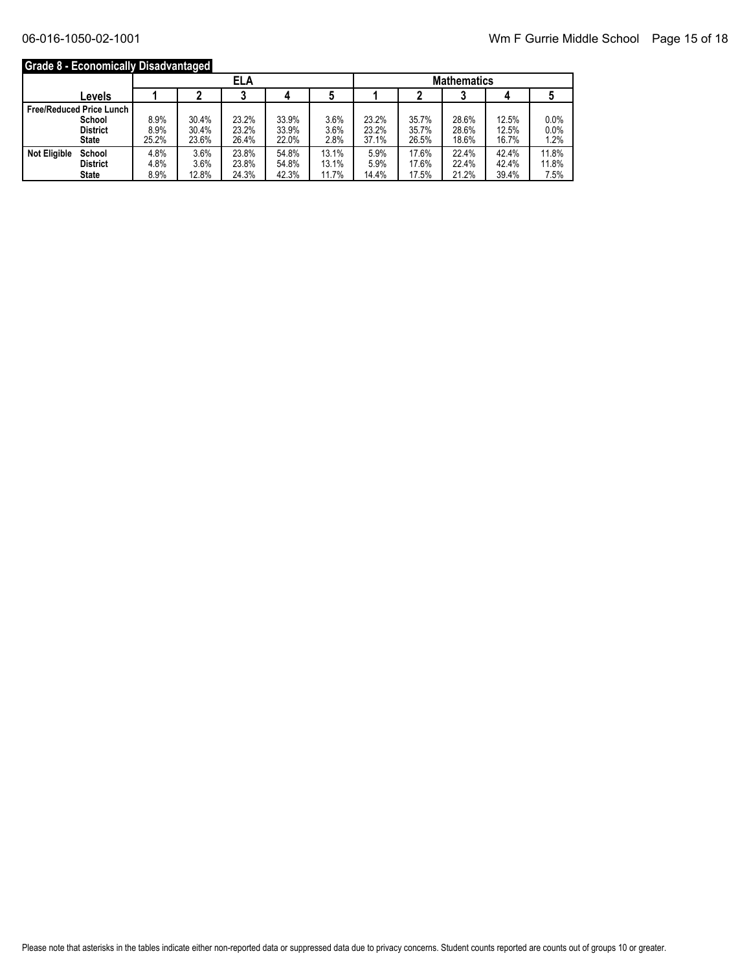# **Grade 8 - Economically Disadvantaged**

|                     |                                 |       |       | <b>ELA</b> |       |       | <b>Mathematics</b> |       |       |       |       |
|---------------------|---------------------------------|-------|-------|------------|-------|-------|--------------------|-------|-------|-------|-------|
|                     | Levels                          |       |       |            |       |       |                    |       |       |       |       |
|                     | <b>Free/Reduced Price Lunch</b> |       |       |            |       |       |                    |       |       |       |       |
|                     | School                          | 8.9%  | 30.4% | 23.2%      | 33.9% | 3.6%  | 23.2%              | 35.7% | 28.6% | 12.5% | 0.0%  |
|                     | <b>District</b>                 | 8.9%  | 30.4% | 23.2%      | 33.9% | 3.6%  | 23.2%              | 35.7% | 28.6% | 12.5% | 0.0%  |
|                     | <b>State</b>                    | 25.2% | 23.6% | 26.4%      | 22.0% | 2.8%  | 37.1%              | 26.5% | 18.6% | 16.7% | 1.2%  |
| <b>Not Eligible</b> | School                          | 4.8%  | 3.6%  | 23.8%      | 54.8% | 13.1% | 5.9%               | 17.6% | 22.4% | 42.4% | 11.8% |
|                     | <b>District</b>                 | 4.8%  | 3.6%  | 23.8%      | 54.8% | 13.1% | 5.9%               | 17.6% | 22.4% | 42.4% | 11.8% |
|                     | <b>State</b>                    | 8.9%  | 12.8% | 24.3%      | 42.3% | 11.7% | 14.4%              | 17.5% | 21.2% | 39.4% | 7.5%  |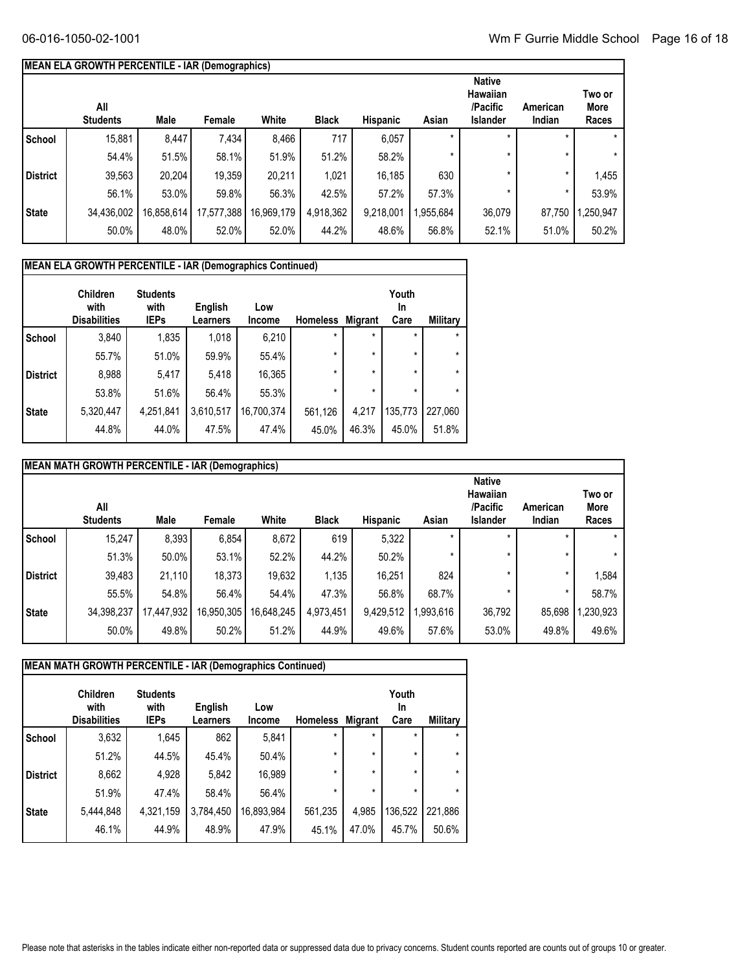# **MEAN ELA GROWTH PERCENTILE - IAR (Demographics)**

|                 | All<br><b>Students</b> | Male       | Female     | White      | <b>Black</b> | <b>Hispanic</b> | Asian    | <b>Native</b><br><b>Hawaiian</b><br>/Pacific<br><b>Islander</b> | American<br>Indian | Two or<br>More<br>Races |
|-----------------|------------------------|------------|------------|------------|--------------|-----------------|----------|-----------------------------------------------------------------|--------------------|-------------------------|
| School          | 15,881                 | 8,447      | 7,434      | 8,466      | 717          | 6,057           | $\star$  | $\star$                                                         |                    | $\star$                 |
|                 | 54.4%                  | 51.5%      | 58.1%      | 51.9%      | 51.2%        | 58.2%           |          | $\star$                                                         |                    | $\star$                 |
| <b>District</b> | 39,563                 | 20,204     | 19,359     | 20,211     | 1,021        | 16,185          | 630      | $\star$                                                         | $\star$            | 1,455                   |
|                 | 56.1%                  | 53.0%      | 59.8%      | 56.3%      | 42.5%        | 57.2%           | 57.3%    | $\star$                                                         |                    | 53.9%                   |
| <b>State</b>    | 34,436,002             | 16,858,614 | 17,577,388 | 16,969,179 | 4,918,362    | 9,218,001       | ,955,684 | 36,079                                                          | 87,750             | ,250,947                |
|                 | 50.0%                  | 48.0%      | 52.0%      | 52.0%      | 44.2%        | 48.6%           | 56.8%    | 52.1%                                                           | 51.0%              | 50.2%                   |

| MEAN ELA GROWTH PERCENTILE - IAR (Demographics Continued) |                                                |                                        |                     |                      |                 |                |                     |          |
|-----------------------------------------------------------|------------------------------------------------|----------------------------------------|---------------------|----------------------|-----------------|----------------|---------------------|----------|
|                                                           | <b>Children</b><br>with<br><b>Disabilities</b> | <b>Students</b><br>with<br><b>IEPs</b> | English<br>Learners | Low<br><b>Income</b> | <b>Homeless</b> | <b>Migrant</b> | Youth<br>In<br>Care | Military |
| <b>School</b>                                             | 3,840                                          | 1,835                                  | 1,018               | 6,210                | $\star$         | $\star$        | $\star$             | $\star$  |
|                                                           | 55.7%                                          | 51.0%                                  | 59.9%               | 55.4%                | $\star$         | $\star$        | $\star$             | $\star$  |
| <b>District</b>                                           | 8,988                                          | 5,417                                  | 5,418               | 16,365               | $\star$         | $\star$        | $\star$             | $\star$  |
|                                                           | 53.8%                                          | 51.6%                                  | 56.4%               | 55.3%                | $\star$         | $\star$        | $\star$             | $\star$  |
| <b>State</b>                                              | 5,320,447                                      | 4,251,841                              | 3,610,517           | 16,700,374           | 561,126         | 4,217          | 135,773             | 227,060  |
|                                                           | 44.8%                                          | 44.0%                                  | 47.5%               | 47.4%                | 45.0%           | 46.3%          | 45.0%               | 51.8%    |

|                 | <b>MEAN MATH GROWTH PERCENTILE - IAR (Demographics)</b> |            |            |            |              |                 |           |                                                                 |                    |                         |
|-----------------|---------------------------------------------------------|------------|------------|------------|--------------|-----------------|-----------|-----------------------------------------------------------------|--------------------|-------------------------|
|                 | All<br><b>Students</b>                                  | Male       | Female     | White      | <b>Black</b> | <b>Hispanic</b> | Asian     | <b>Native</b><br><b>Hawaiian</b><br>/Pacific<br><b>Islander</b> | American<br>Indian | Two or<br>More<br>Races |
| School          | 15,247                                                  | 8,393      | 6,854      | 8,672      | 619          | 5,322           | $\star$   |                                                                 |                    | $\star$                 |
|                 | 51.3%                                                   | 50.0%      | 53.1%      | 52.2%      | 44.2%        | 50.2%           |           |                                                                 |                    | $\star$                 |
| <b>District</b> | 39,483                                                  | 21,110     | 18,373     | 19,632     | 1,135        | 16,251          | 824       | $\star$                                                         | $\star$            | 1,584                   |
|                 | 55.5%                                                   | 54.8%      | 56.4%      | 54.4%      | 47.3%        | 56.8%           | 68.7%     |                                                                 | *                  | 58.7%                   |
| <b>State</b>    | 34,398,237                                              | 17,447,932 | 16,950,305 | 16,648,245 | 4,973,451    | 9,429,512       | 1,993,616 | 36,792                                                          | 85,698             | ,230,923                |
|                 | 50.0%                                                   | 49.8%      | 50.2%      | 51.2%      | 44.9%        | 49.6%           | 57.6%     | 53.0%                                                           | 49.8%              | 49.6%                   |

|                 | MEAN MATH GROWTH PERCENTILE - IAR (Demographics Continued) |                                        |                            |                      |                 |                |                     |          |
|-----------------|------------------------------------------------------------|----------------------------------------|----------------------------|----------------------|-----------------|----------------|---------------------|----------|
|                 | <b>Children</b><br>with<br><b>Disabilities</b>             | <b>Students</b><br>with<br><b>IEPs</b> | English<br><b>Learners</b> | Low<br><b>Income</b> | <b>Homeless</b> | <b>Migrant</b> | Youth<br>In<br>Care | Military |
| School          | 3,632                                                      | 1.645                                  | 862                        | 5,841                | $\star$         | $\star$        | $\star$             | $\star$  |
|                 | 51.2%                                                      | 44.5%                                  | 45.4%                      | 50.4%                | $\star$         | $\star$        | $\star$             | $\star$  |
| <b>District</b> | 8,662                                                      | 4,928                                  | 5,842                      | 16,989               | $\star$         | $\star$        | $\star$             | $\star$  |
|                 | 51.9%                                                      | 47.4%                                  | 58.4%                      | 56.4%                | $\star$         | $\star$        | $\star$             | $\star$  |
| <b>State</b>    | 5,444,848                                                  | 4,321,159                              | 3,784,450                  | 16,893,984           | 561,235         | 4,985          | 136,522             | 221,886  |
|                 | 46.1%                                                      | 44.9%                                  | 48.9%                      | 47.9%                | 45.1%           | 47.0%          | 45.7%               | 50.6%    |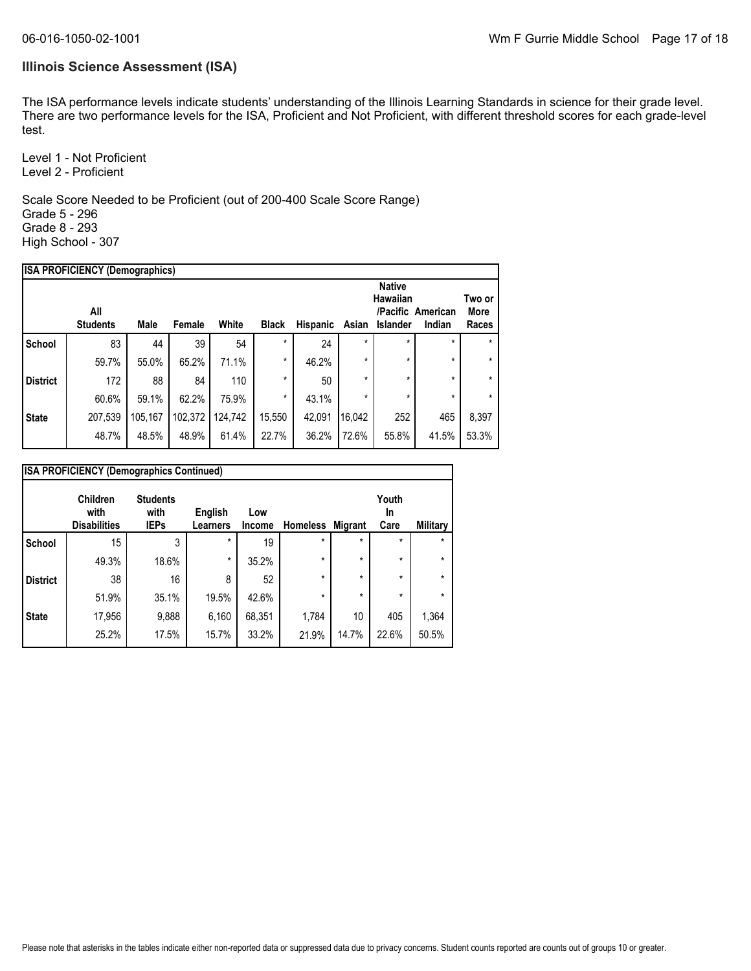### **Illinois Science Assessment (ISA)**

The ISA performance levels indicate students' understanding of the Illinois Learning Standards in science for their grade level. There are two performance levels for the ISA, Proficient and Not Proficient, with different threshold scores for each grade-level test.

Level 1 - Not Proficient Level 2 - Proficient

Scale Score Needed to be Proficient (out of 200-400 Scale Score Range) Grade 5 - 296 Grade 8 - 293 High School - 307

|                 | <b>ISA PROFICIENCY (Demographics)</b> |         |         |         |              |                 |         |                                              |                             |                                |
|-----------------|---------------------------------------|---------|---------|---------|--------------|-----------------|---------|----------------------------------------------|-----------------------------|--------------------------------|
|                 | All<br><b>Students</b>                | Male    | Female  | White   | <b>Black</b> | <b>Hispanic</b> | Asian   | <b>Native</b><br>Hawaiian<br><b>Islander</b> | /Pacific American<br>Indian | Two or<br><b>More</b><br>Races |
| <b>School</b>   | 83                                    | 44      | 39      | 54      | $\star$      | 24              | $\star$ | $\star$                                      | $\star$                     | $\star$                        |
|                 | 59.7%                                 | 55.0%   | 65.2%   | 71.1%   | $\star$      | 46.2%           | $\star$ | $\star$                                      | $\star$                     | $\star$                        |
| <b>District</b> | 172                                   | 88      | 84      | 110     | *            | 50              | $\star$ | $\star$                                      | $\star$                     | $\star$                        |
|                 | 60.6%                                 | 59.1%   | 62.2%   | 75.9%   | $\star$      | 43.1%           | $\star$ | $\star$                                      | $\star$                     | $\star$                        |
| <b>State</b>    | 207,539                               | 105,167 | 102,372 | 124,742 | 15,550       | 42,091          | 16,042  | 252                                          | 465                         | 8,397                          |
|                 | 48.7%                                 | 48.5%   | 48.9%   | 61.4%   | 22.7%        | 36.2%           | 72.6%   | 55.8%                                        | 41.5%                       | 53.3%                          |
|                 |                                       |         |         |         |              |                 |         |                                              |                             |                                |

| <b>ISA PROFICIENCY (Demographics Continued)</b> |                                         |                                        |                            |               |                 |                |                     |          |
|-------------------------------------------------|-----------------------------------------|----------------------------------------|----------------------------|---------------|-----------------|----------------|---------------------|----------|
|                                                 | Children<br>with<br><b>Disabilities</b> | <b>Students</b><br>with<br><b>IEPs</b> | English<br><b>Learners</b> | Low<br>Income | <b>Homeless</b> | <b>Migrant</b> | Youth<br>In<br>Care | Military |
| <b>School</b>                                   | 15                                      | 3                                      | $\star$                    | 19            | $\star$         | $\star$        | $\star$             | $\star$  |
|                                                 | 49.3%                                   | 18.6%                                  | $\star$                    | 35.2%         | $\star$         | $\star$        | $\star$             | *        |
| <b>District</b>                                 | 38                                      | 16                                     | 8                          | 52            | $\star$         | $\star$        | $\star$             | *        |
|                                                 | 51.9%                                   | 35.1%                                  | 19.5%                      | 42.6%         | $\star$         | $\star$        | $\star$             | *        |
| <b>State</b>                                    | 17,956                                  | 9,888                                  | 6,160                      | 68,351        | 1,784           | 10             | 405                 | 1,364    |
|                                                 | 25.2%                                   | 17.5%                                  | 15.7%                      | 33.2%         | 21.9%           | 14.7%          | 22.6%               | 50.5%    |